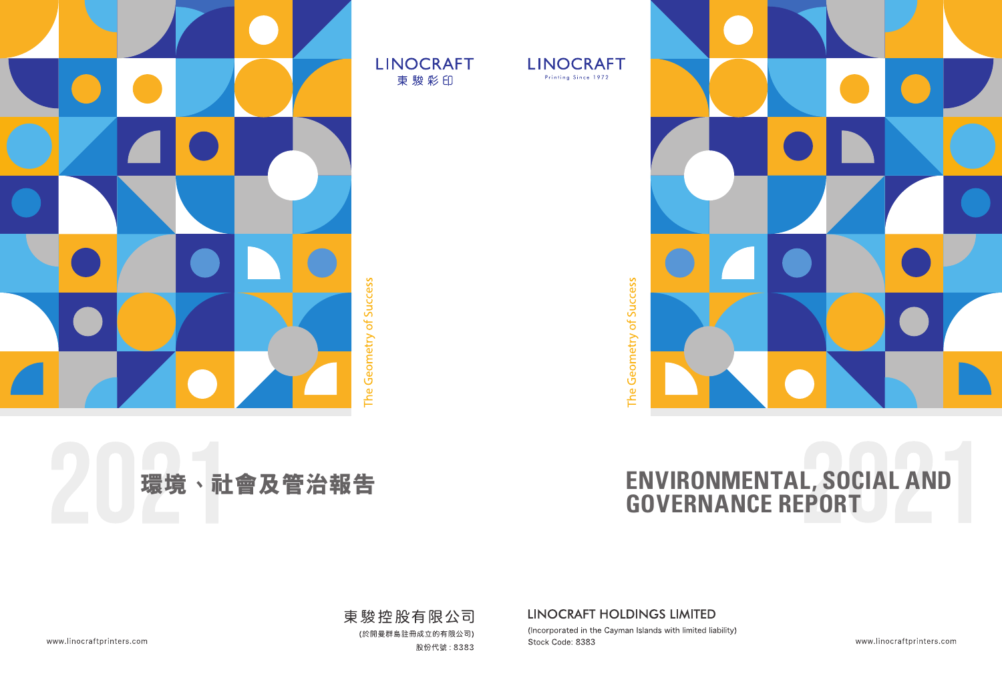



The Geometry of Success

# **ENVIRONMENTAL, SOCIAL AND GOVERNANCE REPORT**

LINOCRAFT HOLDINGS LIMITED

(Incorporated in the Cayman Islands with limited liability) Stock Code: 8383

www.linocraftprinters.com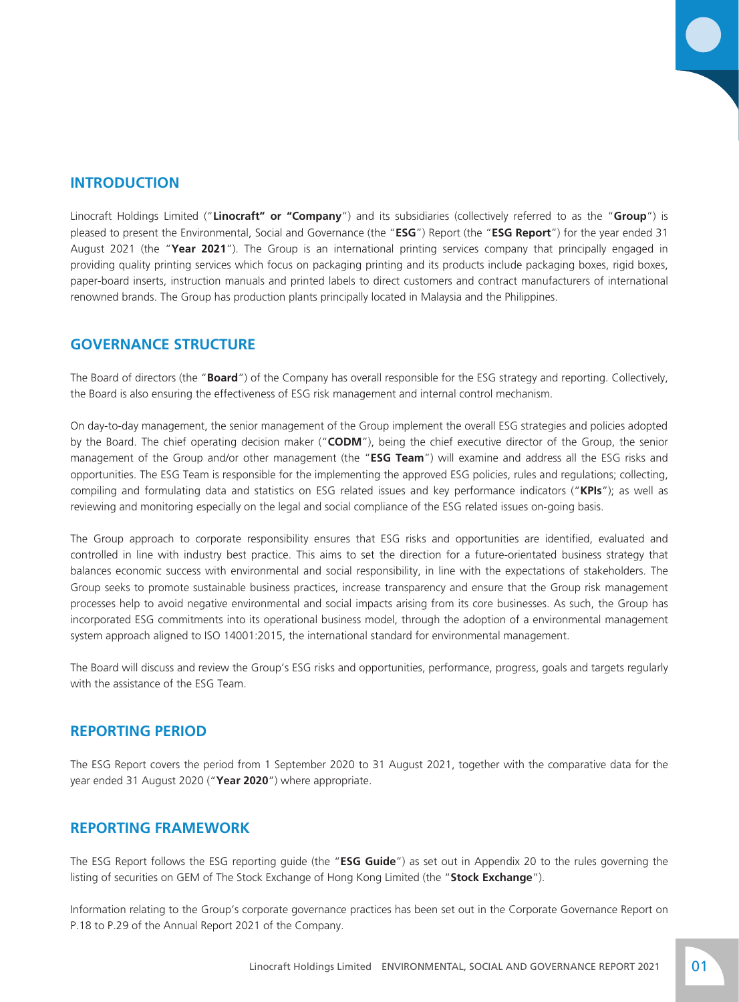# **INTRODUCTION**

Linocraft Holdings Limited ("**Linocraft" or "Company**") and its subsidiaries (collectively referred to as the "**Group**") is pleased to present the Environmental, Social and Governance (the "**ESG**") Report (the "**ESG Report**") for the year ended 31 August 2021 (the "**Year 2021**"). The Group is an international printing services company that principally engaged in providing quality printing services which focus on packaging printing and its products include packaging boxes, rigid boxes, paper-board inserts, instruction manuals and printed labels to direct customers and contract manufacturers of international renowned brands. The Group has production plants principally located in Malaysia and the Philippines.

# **GOVERNANCE STRUCTURE**

The Board of directors (the "**Board**") of the Company has overall responsible for the ESG strategy and reporting. Collectively, the Board is also ensuring the effectiveness of ESG risk management and internal control mechanism.

On day-to-day management, the senior management of the Group implement the overall ESG strategies and policies adopted by the Board. The chief operating decision maker ("**CODM**"), being the chief executive director of the Group, the senior management of the Group and/or other management (the "**ESG Team**") will examine and address all the ESG risks and opportunities. The ESG Team is responsible for the implementing the approved ESG policies, rules and regulations; collecting, compiling and formulating data and statistics on ESG related issues and key performance indicators ("**KPIs**"); as well as reviewing and monitoring especially on the legal and social compliance of the ESG related issues on-going basis.

The Group approach to corporate responsibility ensures that ESG risks and opportunities are identified, evaluated and controlled in line with industry best practice. This aims to set the direction for a future-orientated business strategy that balances economic success with environmental and social responsibility, in line with the expectations of stakeholders. The Group seeks to promote sustainable business practices, increase transparency and ensure that the Group risk management processes help to avoid negative environmental and social impacts arising from its core businesses. As such, the Group has incorporated ESG commitments into its operational business model, through the adoption of a environmental management system approach aligned to ISO 14001:2015, the international standard for environmental management.

The Board will discuss and review the Group's ESG risks and opportunities, performance, progress, goals and targets regularly with the assistance of the ESG Team.

# **REPORTING PERIOD**

The ESG Report covers the period from 1 September 2020 to 31 August 2021, together with the comparative data for the year ended 31 August 2020 ("**Year 2020**") where appropriate.

# **REPORTING FRAMEWORK**

The ESG Report follows the ESG reporting guide (the "**ESG Guide**") as set out in Appendix 20 to the rules governing the listing of securities on GEM of The Stock Exchange of Hong Kong Limited (the "**Stock Exchange**").

Information relating to the Group's corporate governance practices has been set out in the Corporate Governance Report on P.18 to P.29 of the Annual Report 2021 of the Company.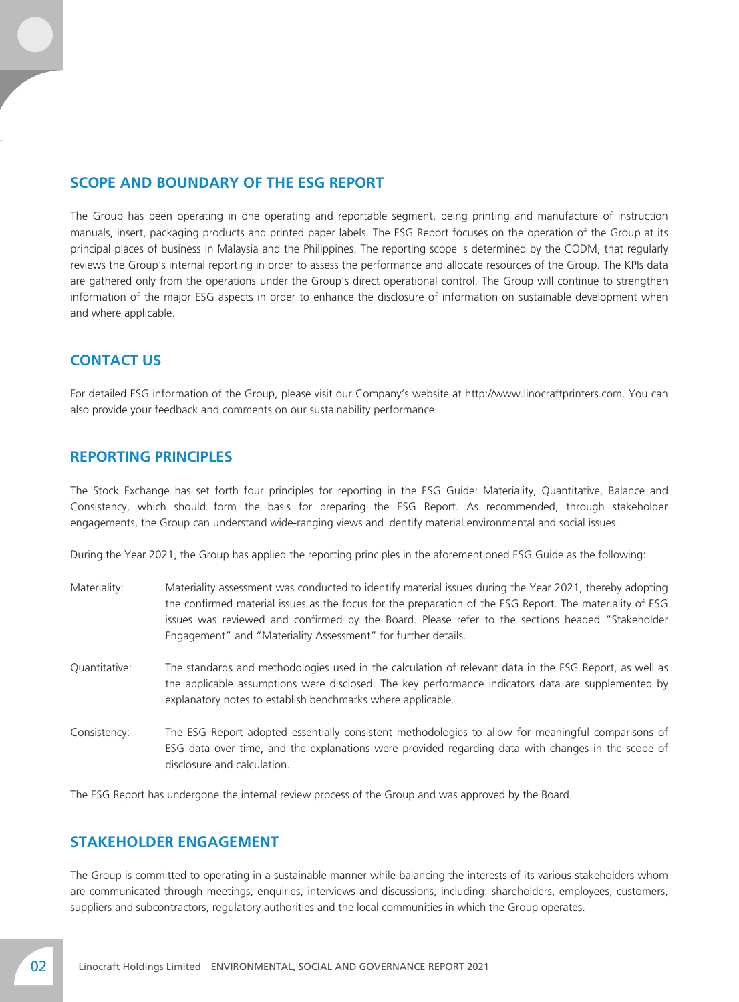# **SCOPE AND BOUNDARY OF THE ESG REPORT**

The Group has been operating in one operating and reportable segment, being printing and manufacture of instruction manuals, insert, packaging products and printed paper labels. The ESG Report focuses on the operation of the Group at its principal places of business in Malaysia and the Philippines. The reporting scope is determined by the CODM, that regularly reviews the Group's internal reporting in order to assess the performance and allocate resources of the Group. The KPIs data are gathered only from the operations under the Group's direct operational control. The Group will continue to strengthen information of the major ESG aspects in order to enhance the disclosure of information on sustainable development when and where applicable.

## **CONTACT US**

For detailed ESG information of the Group, please visit our Company's website at http://www.linocraftprinters.com. You can also provide your feedback and comments on our sustainability performance.

## **REPORTING PRINCIPLES**

The Stock Exchange has set forth four principles for reporting in the ESG Guide: Materiality, Quantitative, Balance and Consistency, which should form the basis for preparing the ESG Report. As recommended, through stakeholder engagements, the Group can understand wide-ranging views and identify material environmental and social issues.

During the Year 2021, the Group has applied the reporting principles in the aforementioned ESG Guide as the following:

| Materiality:  | Materiality assessment was conducted to identify material issues during the Year 2021, thereby adopting<br>the confirmed material issues as the focus for the preparation of the ESG Report. The materiality of ESG<br>issues was reviewed and confirmed by the Board. Please refer to the sections headed "Stakeholder<br>Engagement" and "Materiality Assessment" for further details. |
|---------------|------------------------------------------------------------------------------------------------------------------------------------------------------------------------------------------------------------------------------------------------------------------------------------------------------------------------------------------------------------------------------------------|
| Quantitative: | The standards and methodologies used in the calculation of relevant data in the ESG Report, as well as<br>the applicable assumptions were disclosed. The key performance indicators data are supplemented by<br>explanatory notes to establish benchmarks where applicable.                                                                                                              |
| Consistency:  | The ESG Report adopted essentially consistent methodologies to allow for meaningful comparisons of                                                                                                                                                                                                                                                                                       |

ESG data over time, and the explanations were provided regarding data with changes in the scope of disclosure and calculation.

The ESG Report has undergone the internal review process of the Group and was approved by the Board.

## **STAKEHOLDER ENGAGEMENT**

The Group is committed to operating in a sustainable manner while balancing the interests of its various stakeholders whom are communicated through meetings, enquiries, interviews and discussions, including: shareholders, employees, customers, suppliers and subcontractors, regulatory authorities and the local communities in which the Group operates.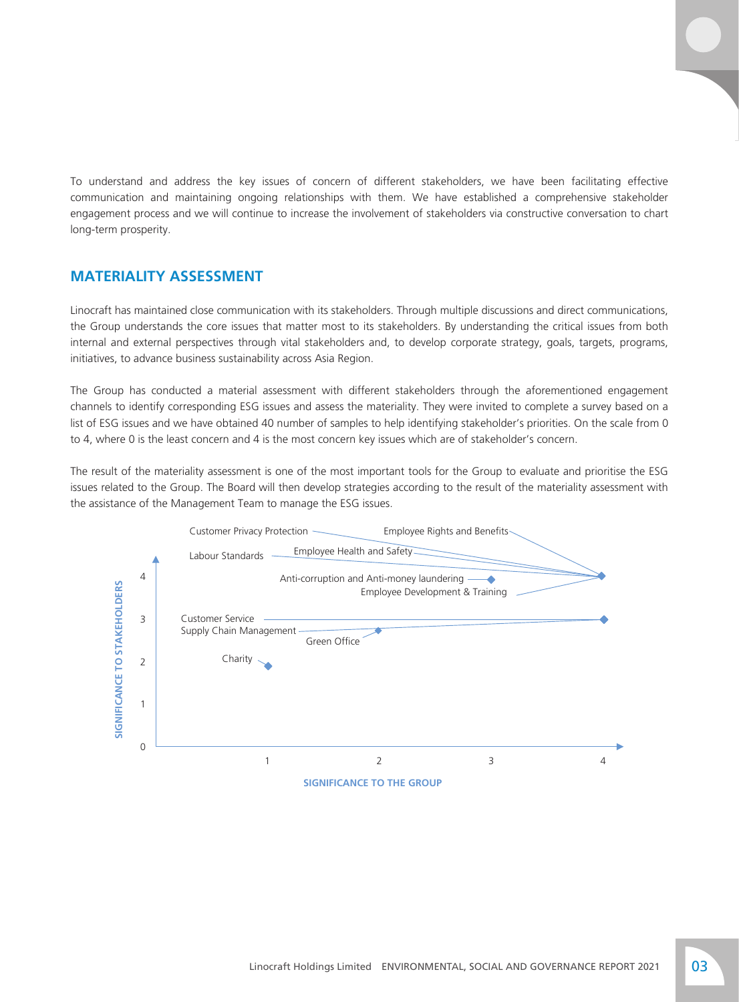To understand and address the key issues of concern of different stakeholders, we have been facilitating effective communication and maintaining ongoing relationships with them. We have established a comprehensive stakeholder engagement process and we will continue to increase the involvement of stakeholders via constructive conversation to chart long-term prosperity.

## **MATERIALITY ASSESSMENT**

Linocraft has maintained close communication with its stakeholders. Through multiple discussions and direct communications, the Group understands the core issues that matter most to its stakeholders. By understanding the critical issues from both internal and external perspectives through vital stakeholders and, to develop corporate strategy, goals, targets, programs, initiatives, to advance business sustainability across Asia Region.

The Group has conducted a material assessment with different stakeholders through the aforementioned engagement channels to identify corresponding ESG issues and assess the materiality. They were invited to complete a survey based on a list of ESG issues and we have obtained 40 number of samples to help identifying stakeholder's priorities. On the scale from 0 to 4, where 0 is the least concern and 4 is the most concern key issues which are of stakeholder's concern.

The result of the materiality assessment is one of the most important tools for the Group to evaluate and prioritise the ESG issues related to the Group. The Board will then develop strategies according to the result of the materiality assessment with the assistance of the Management Team to manage the ESG issues.

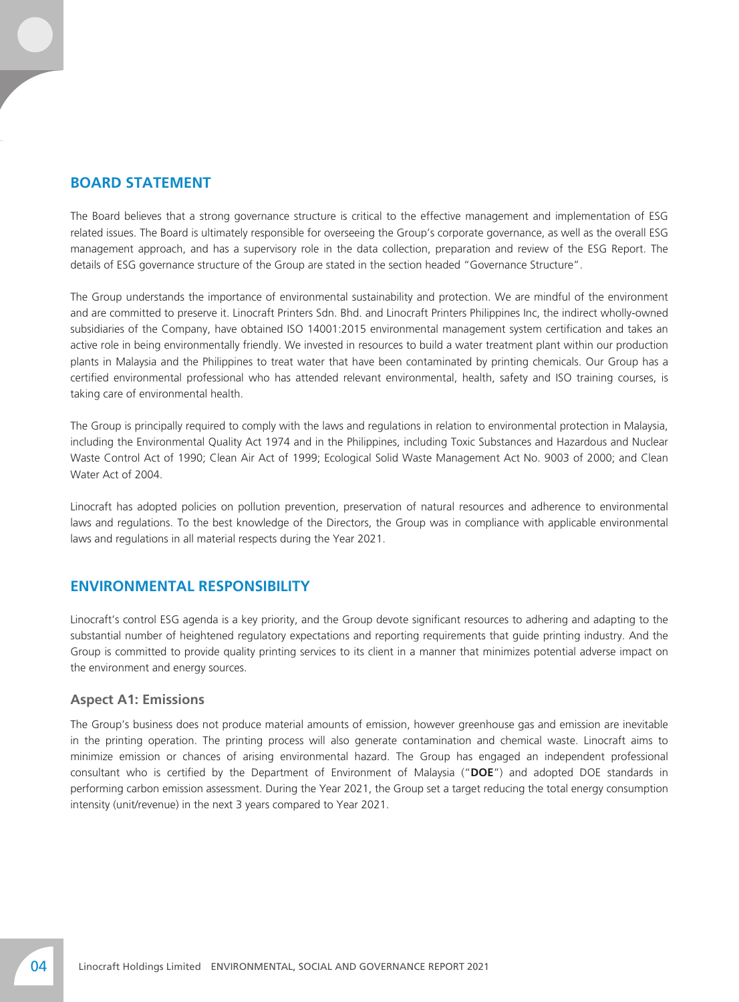## **BOARD STATEMENT**

The Board believes that a strong governance structure is critical to the effective management and implementation of ESG related issues. The Board is ultimately responsible for overseeing the Group's corporate governance, as well as the overall ESG management approach, and has a supervisory role in the data collection, preparation and review of the ESG Report. The details of ESG governance structure of the Group are stated in the section headed "Governance Structure".

The Group understands the importance of environmental sustainability and protection. We are mindful of the environment and are committed to preserve it. Linocraft Printers Sdn. Bhd. and Linocraft Printers Philippines Inc, the indirect wholly-owned subsidiaries of the Company, have obtained ISO 14001:2015 environmental management system certification and takes an active role in being environmentally friendly. We invested in resources to build a water treatment plant within our production plants in Malaysia and the Philippines to treat water that have been contaminated by printing chemicals. Our Group has a certified environmental professional who has attended relevant environmental, health, safety and ISO training courses, is taking care of environmental health.

The Group is principally required to comply with the laws and regulations in relation to environmental protection in Malaysia, including the Environmental Quality Act 1974 and in the Philippines, including Toxic Substances and Hazardous and Nuclear Waste Control Act of 1990; Clean Air Act of 1999; Ecological Solid Waste Management Act No. 9003 of 2000; and Clean Water Act of 2004.

Linocraft has adopted policies on pollution prevention, preservation of natural resources and adherence to environmental laws and regulations. To the best knowledge of the Directors, the Group was in compliance with applicable environmental laws and regulations in all material respects during the Year 2021.

# **ENVIRONMENTAL RESPONSIBILITY**

Linocraft's control ESG agenda is a key priority, and the Group devote significant resources to adhering and adapting to the substantial number of heightened regulatory expectations and reporting requirements that guide printing industry. And the Group is committed to provide quality printing services to its client in a manner that minimizes potential adverse impact on the environment and energy sources.

#### **Aspect A1: Emissions**

The Group's business does not produce material amounts of emission, however greenhouse gas and emission are inevitable in the printing operation. The printing process will also generate contamination and chemical waste. Linocraft aims to minimize emission or chances of arising environmental hazard. The Group has engaged an independent professional consultant who is certified by the Department of Environment of Malaysia ("**DOE**") and adopted DOE standards in performing carbon emission assessment. During the Year 2021, the Group set a target reducing the total energy consumption intensity (unit/revenue) in the next 3 years compared to Year 2021.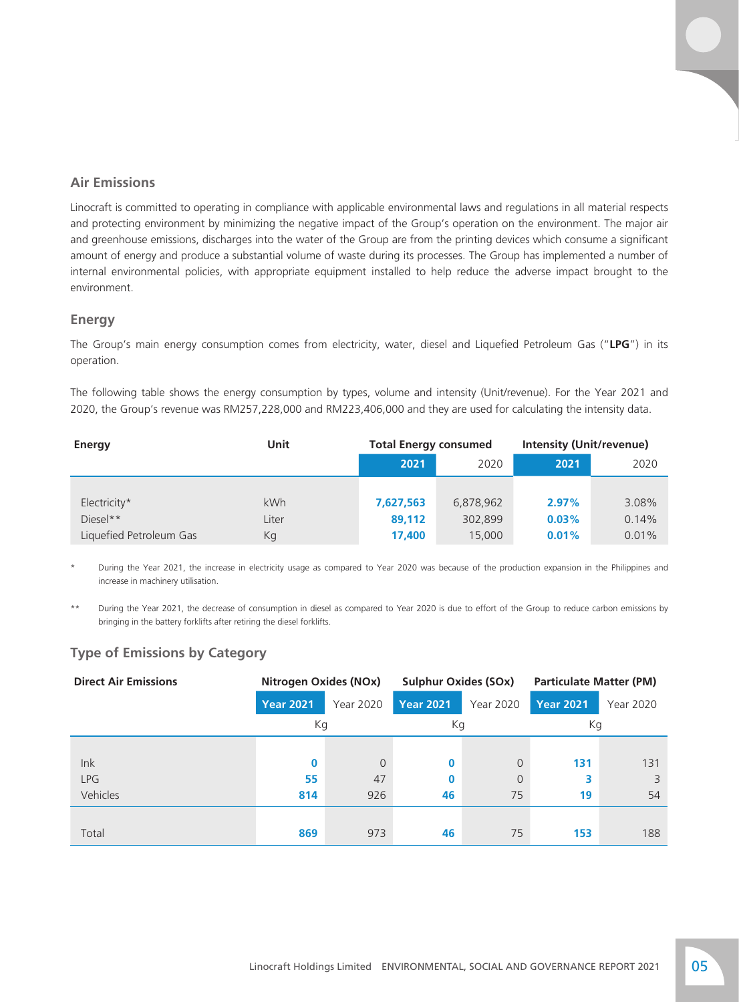## **Air Emissions**

Linocraft is committed to operating in compliance with applicable environmental laws and regulations in all material respects and protecting environment by minimizing the negative impact of the Group's operation on the environment. The major air and greenhouse emissions, discharges into the water of the Group are from the printing devices which consume a significant amount of energy and produce a substantial volume of waste during its processes. The Group has implemented a number of internal environmental policies, with appropriate equipment installed to help reduce the adverse impact brought to the environment.

#### **Energy**

The Group's main energy consumption comes from electricity, water, diesel and Liquefied Petroleum Gas ("**LPG**") in its operation.

The following table shows the energy consumption by types, volume and intensity (Unit/revenue). For the Year 2021 and 2020, the Group's revenue was RM257,228,000 and RM223,406,000 and they are used for calculating the intensity data.

| Energy                  | Unit  | <b>Total Energy consumed</b> |           | <b>Intensity (Unit/revenue)</b> |       |  |
|-------------------------|-------|------------------------------|-----------|---------------------------------|-------|--|
|                         |       | 2021                         | 2020      | 2021                            | 2020  |  |
|                         |       |                              |           |                                 |       |  |
| Electricity*            | kWh   | 7,627,563                    | 6,878,962 | 2.97%                           | 3.08% |  |
| $Diesel**$              | Liter | 89,112                       | 302,899   | 0.03%                           | 0.14% |  |
| Liquefied Petroleum Gas | Кg    | 17,400                       | 15,000    | 0.01%                           | 0.01% |  |

During the Year 2021, the increase in electricity usage as compared to Year 2020 was because of the production expansion in the Philippines and increase in machinery utilisation.

\*\* During the Year 2021, the decrease of consumption in diesel as compared to Year 2020 is due to effort of the Group to reduce carbon emissions by bringing in the battery forklifts after retiring the diesel forklifts.

### **Type of Emissions by Category**

| <b>Direct Air Emissions</b> | Nitrogen Oxides (NOx) |           | <b>Sulphur Oxides (SOx)</b> |                | <b>Particulate Matter (PM)</b> |                  |  |
|-----------------------------|-----------------------|-----------|-----------------------------|----------------|--------------------------------|------------------|--|
|                             | <b>Year 2021</b>      | Year 2020 | <b>Year 2021</b>            | Year 2020      | <b>Year 2021</b>               | <b>Year 2020</b> |  |
|                             | Кg                    |           | Kg                          |                | Кg                             |                  |  |
|                             |                       |           |                             |                |                                |                  |  |
| lnk                         | 0                     | $\Omega$  | 0                           | $\overline{0}$ | 131                            | 131              |  |
| <b>LPG</b>                  | 55                    | 47        | 0                           | $\overline{0}$ | 3                              | 3                |  |
| Vehicles                    | 814                   | 926       | 46                          | 75             | 19                             | 54               |  |
|                             |                       |           |                             |                |                                |                  |  |
| Total                       | 869                   | 973       | 46                          | 75             | 153                            | 188              |  |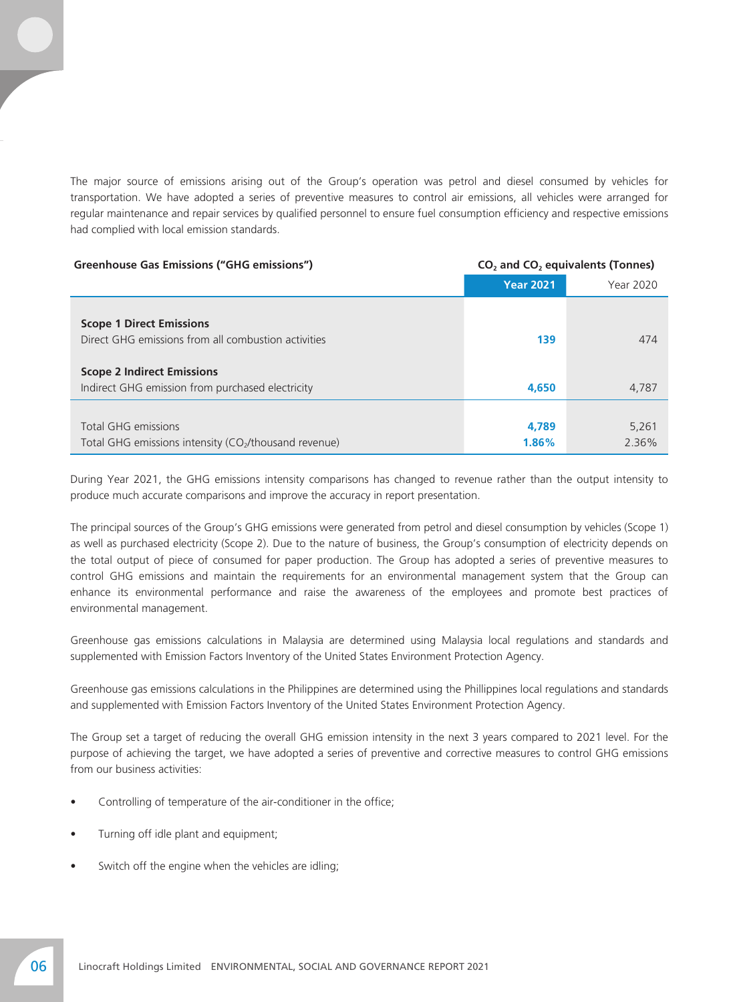The major source of emissions arising out of the Group's operation was petrol and diesel consumed by vehicles for transportation. We have adopted a series of preventive measures to control air emissions, all vehicles were arranged for regular maintenance and repair services by qualified personnel to ensure fuel consumption efficiency and respective emissions had complied with local emission standards.

| Greenhouse Gas Emissions ("GHG emissions")                                                      | $CO2$ and $CO2$ equivalents (Tonnes) |                |  |  |
|-------------------------------------------------------------------------------------------------|--------------------------------------|----------------|--|--|
|                                                                                                 | <b>Year 2021</b>                     | Year 2020      |  |  |
| <b>Scope 1 Direct Emissions</b><br>Direct GHG emissions from all combustion activities          | 139                                  | 474            |  |  |
| <b>Scope 2 Indirect Emissions</b><br>Indirect GHG emission from purchased electricity           | 4,650                                | 4,787          |  |  |
| <b>Total GHG emissions</b><br>Total GHG emissions intensity (CO <sub>2</sub> /thousand revenue) | 4,789<br>1.86%                       | 5,261<br>2.36% |  |  |

During Year 2021, the GHG emissions intensity comparisons has changed to revenue rather than the output intensity to produce much accurate comparisons and improve the accuracy in report presentation.

The principal sources of the Group's GHG emissions were generated from petrol and diesel consumption by vehicles (Scope 1) as well as purchased electricity (Scope 2). Due to the nature of business, the Group's consumption of electricity depends on the total output of piece of consumed for paper production. The Group has adopted a series of preventive measures to control GHG emissions and maintain the requirements for an environmental management system that the Group can enhance its environmental performance and raise the awareness of the employees and promote best practices of environmental management.

Greenhouse gas emissions calculations in Malaysia are determined using Malaysia local regulations and standards and supplemented with Emission Factors Inventory of the United States Environment Protection Agency.

Greenhouse gas emissions calculations in the Philippines are determined using the Phillippines local regulations and standards and supplemented with Emission Factors Inventory of the United States Environment Protection Agency.

The Group set a target of reducing the overall GHG emission intensity in the next 3 years compared to 2021 level. For the purpose of achieving the target, we have adopted a series of preventive and corrective measures to control GHG emissions from our business activities:

- Controlling of temperature of the air-conditioner in the office;
- Turning off idle plant and equipment;
- Switch off the engine when the vehicles are idling;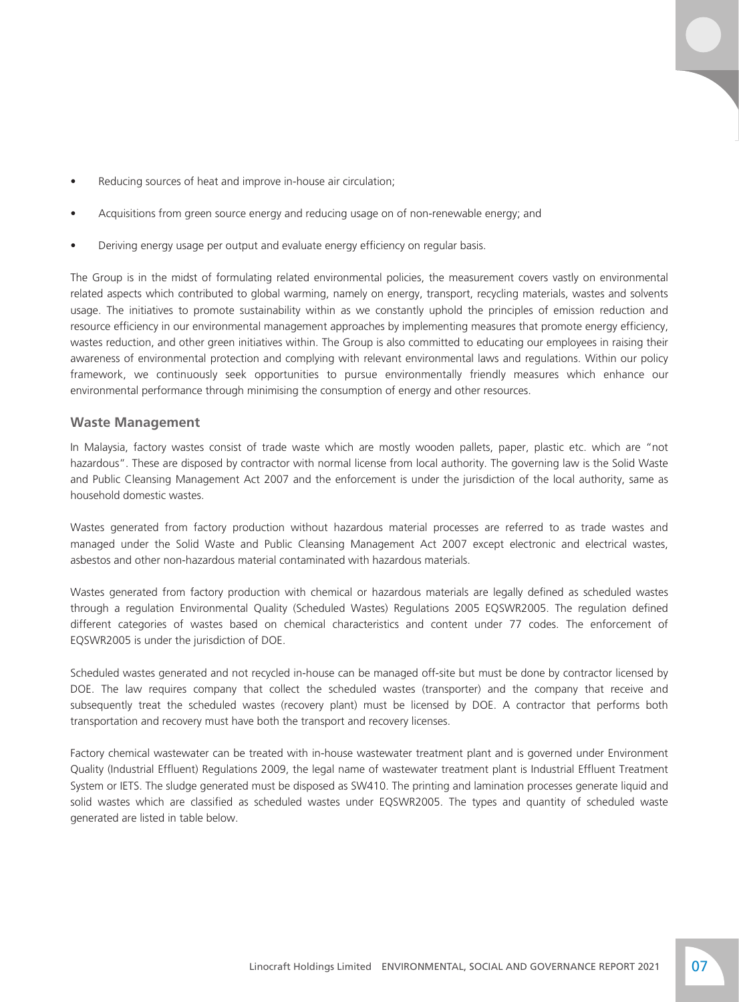- Reducing sources of heat and improve in-house air circulation;
- Acquisitions from green source energy and reducing usage on of non-renewable energy; and
- Deriving energy usage per output and evaluate energy efficiency on regular basis.

The Group is in the midst of formulating related environmental policies, the measurement covers vastly on environmental related aspects which contributed to global warming, namely on energy, transport, recycling materials, wastes and solvents usage. The initiatives to promote sustainability within as we constantly uphold the principles of emission reduction and resource efficiency in our environmental management approaches by implementing measures that promote energy efficiency, wastes reduction, and other green initiatives within. The Group is also committed to educating our employees in raising their awareness of environmental protection and complying with relevant environmental laws and regulations. Within our policy framework, we continuously seek opportunities to pursue environmentally friendly measures which enhance our environmental performance through minimising the consumption of energy and other resources.

#### **Waste Management**

In Malaysia, factory wastes consist of trade waste which are mostly wooden pallets, paper, plastic etc. which are "not hazardous". These are disposed by contractor with normal license from local authority. The governing law is the Solid Waste and Public Cleansing Management Act 2007 and the enforcement is under the jurisdiction of the local authority, same as household domestic wastes.

Wastes generated from factory production without hazardous material processes are referred to as trade wastes and managed under the Solid Waste and Public Cleansing Management Act 2007 except electronic and electrical wastes, asbestos and other non-hazardous material contaminated with hazardous materials.

Wastes generated from factory production with chemical or hazardous materials are legally defined as scheduled wastes through a regulation Environmental Quality (Scheduled Wastes) Regulations 2005 EQSWR2005. The regulation defined different categories of wastes based on chemical characteristics and content under 77 codes. The enforcement of EQSWR2005 is under the jurisdiction of DOE.

Scheduled wastes generated and not recycled in-house can be managed off-site but must be done by contractor licensed by DOE. The law requires company that collect the scheduled wastes (transporter) and the company that receive and subsequently treat the scheduled wastes (recovery plant) must be licensed by DOE. A contractor that performs both transportation and recovery must have both the transport and recovery licenses.

Factory chemical wastewater can be treated with in-house wastewater treatment plant and is governed under Environment Quality (Industrial Effluent) Regulations 2009, the legal name of wastewater treatment plant is Industrial Effluent Treatment System or IETS. The sludge generated must be disposed as SW410. The printing and lamination processes generate liquid and solid wastes which are classified as scheduled wastes under EQSWR2005. The types and quantity of scheduled waste generated are listed in table below.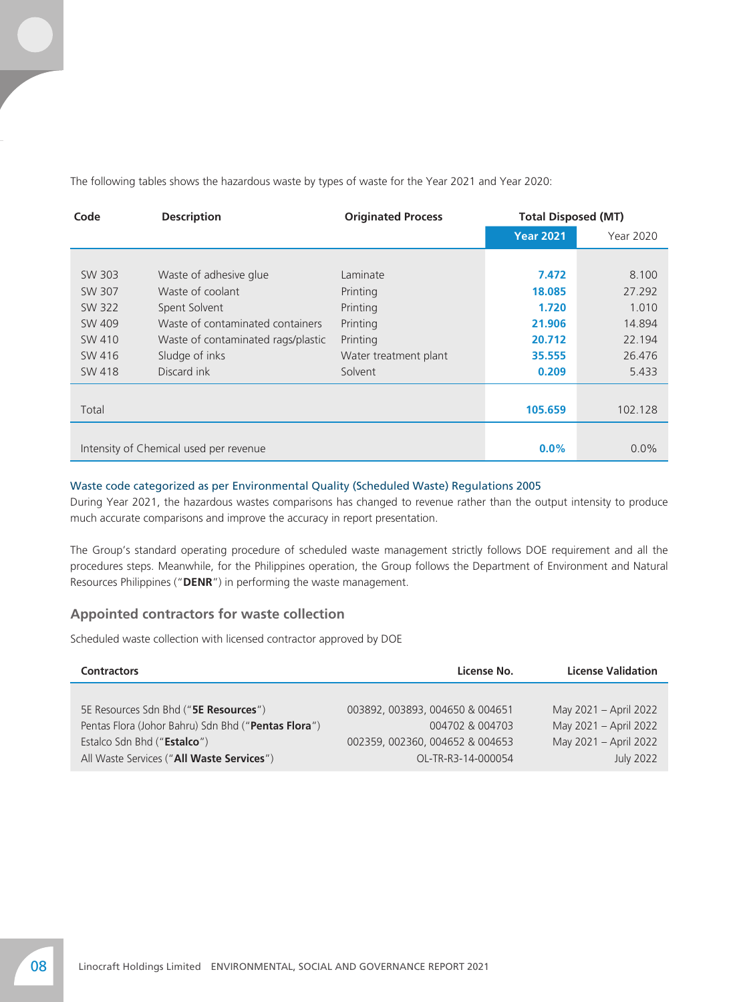The following tables shows the hazardous waste by types of waste for the Year 2021 and Year 2020:

| Code   | <b>Description</b>                     | <b>Originated Process</b> |                  | <b>Total Disposed (MT)</b> |  |
|--------|----------------------------------------|---------------------------|------------------|----------------------------|--|
|        |                                        |                           | <b>Year 2021</b> | Year 2020                  |  |
|        |                                        |                           |                  |                            |  |
| SW 303 | Waste of adhesive glue                 | Laminate                  | 7.472            | 8.100                      |  |
| SW 307 | Waste of coolant                       | Printing                  | 18.085           | 27.292                     |  |
| SW 322 | Spent Solvent                          | Printing                  | 1.720            | 1.010                      |  |
| SW 409 | Waste of contaminated containers       | Printing                  | 21.906           | 14.894                     |  |
| SW 410 | Waste of contaminated rags/plastic     | Printing                  | 20.712           | 22.194                     |  |
| SW 416 | Sludge of inks                         | Water treatment plant     | 35.555           | 26.476                     |  |
| SW 418 | Discard ink                            | Solvent                   | 0.209            | 5.433                      |  |
|        |                                        |                           |                  |                            |  |
| Total  |                                        |                           | 105.659          | 102.128                    |  |
|        |                                        |                           |                  |                            |  |
|        | Intensity of Chemical used per revenue | $0.0\%$                   | 0.0%             |                            |  |

#### Waste code categorized as per Environmental Quality (Scheduled Waste) Regulations 2005

During Year 2021, the hazardous wastes comparisons has changed to revenue rather than the output intensity to produce much accurate comparisons and improve the accuracy in report presentation.

The Group's standard operating procedure of scheduled waste management strictly follows DOE requirement and all the procedures steps. Meanwhile, for the Philippines operation, the Group follows the Department of Environment and Natural Resources Philippines ("**DENR**") in performing the waste management.

### **Appointed contractors for waste collection**

Scheduled waste collection with licensed contractor approved by DOE

| <b>Contractors</b>                                  | License No.                     | <b>License Validation</b> |  |  |
|-----------------------------------------------------|---------------------------------|---------------------------|--|--|
|                                                     |                                 |                           |  |  |
| 5E Resources Sdn Bhd (" <b>5E Resources</b> ")      | 003892, 003893, 004650 & 004651 | May 2021 - April 2022     |  |  |
| Pentas Flora (Johor Bahru) Sdn Bhd ("Pentas Flora") | 004702 & 004703                 | May 2021 - April 2022     |  |  |
| Estalco Sdn Bhd ("Estalco")                         | 002359, 002360, 004652 & 004653 | May 2021 - April 2022     |  |  |
| All Waste Services ("All Waste Services")           | OL-TR-R3-14-000054              | <b>July 2022</b>          |  |  |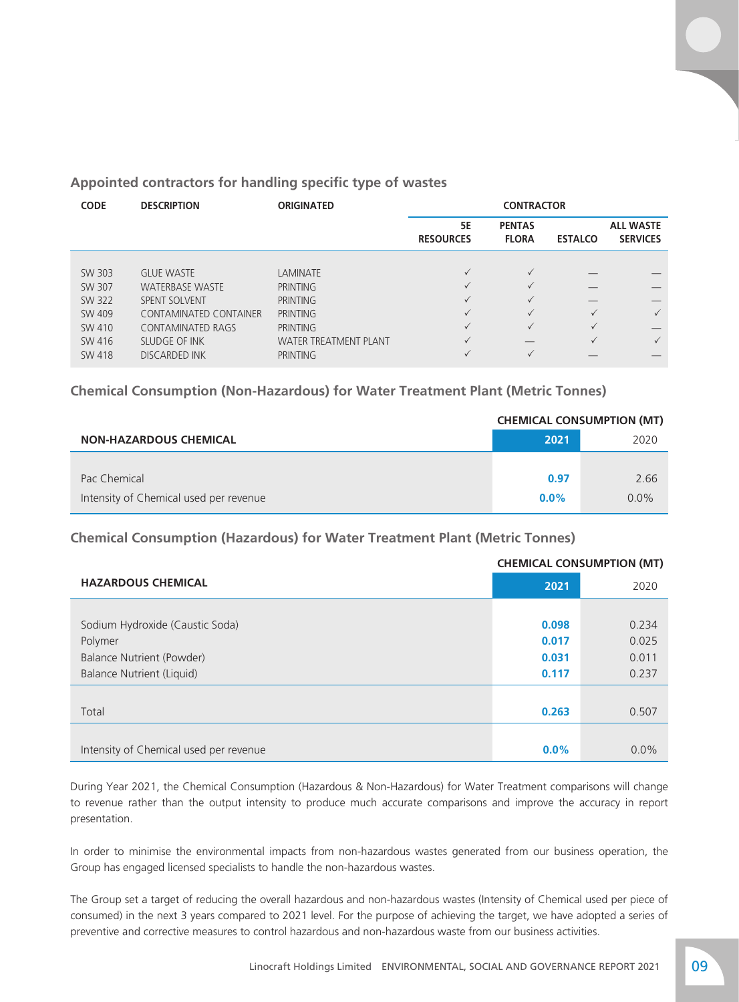## **Appointed contractors for handling specific type of wastes**

| <b>CODE</b> | <b>DESCRIPTION</b>            | <b>ORIGINATED</b>            | <b>CONTRACTOR</b>             |                               |                |                                     |
|-------------|-------------------------------|------------------------------|-------------------------------|-------------------------------|----------------|-------------------------------------|
|             |                               |                              | <b>5E</b><br><b>RESOURCES</b> | <b>PENTAS</b><br><b>FLORA</b> | <b>ESTALCO</b> | <b>ALL WASTE</b><br><b>SERVICES</b> |
|             |                               |                              |                               |                               |                |                                     |
| SW 303      | <b>GLUE WASTE</b>             | <b>LAMINATE</b>              | $\checkmark$                  | $\checkmark$                  |                |                                     |
| SW 307      | <b>WATERBASE WASTE</b>        | <b>PRINTING</b>              | $\checkmark$                  | $\checkmark$                  |                |                                     |
| SW 322      | <b>SPENT SOLVENT</b>          | <b>PRINTING</b>              | $\checkmark$                  | $\checkmark$                  |                |                                     |
| SW 409      | <b>CONTAMINATED CONTAINER</b> | <b>PRINTING</b>              | $\checkmark$                  | $\checkmark$                  | $\checkmark$   | $\checkmark$                        |
| SW 410      | <b>CONTAMINATED RAGS</b>      | <b>PRINTING</b>              | $\checkmark$                  | $\checkmark$                  | $\checkmark$   |                                     |
| SW 416      | SLUDGE OF INK                 | <b>WATER TREATMENT PLANT</b> | $\checkmark$                  |                               | $\checkmark$   | $\checkmark$                        |
| SW 418      | <b>DISCARDED INK</b>          | <b>PRINTING</b>              |                               | $\checkmark$                  |                |                                     |

**Chemical Consumption (Non-Hazardous) for Water Treatment Plant (Metric Tonnes)**

|                                        | <b>CHEMICAL CONSUMPTION (MT)</b> |         |  |
|----------------------------------------|----------------------------------|---------|--|
| <b>NON-HAZARDOUS CHEMICAL</b>          | 2021                             | 2020    |  |
|                                        |                                  |         |  |
| Pac Chemical                           | 0.97                             | 2.66    |  |
| Intensity of Chemical used per revenue | $0.0\%$                          | $0.0\%$ |  |

**Chemical Consumption (Hazardous) for Water Treatment Plant (Metric Tonnes)**

|                                        | <b>CHEMICAL CONSUMPTION (MT)</b> |         |  |  |
|----------------------------------------|----------------------------------|---------|--|--|
| <b>HAZARDOUS CHEMICAL</b>              | 2021                             | 2020    |  |  |
|                                        |                                  |         |  |  |
| Sodium Hydroxide (Caustic Soda)        | 0.098                            | 0.234   |  |  |
| Polymer                                | 0.017                            | 0.025   |  |  |
| Balance Nutrient (Powder)              | 0.031                            | 0.011   |  |  |
| Balance Nutrient (Liquid)              | 0.117                            | 0.237   |  |  |
|                                        |                                  |         |  |  |
| Total                                  | 0.263                            | 0.507   |  |  |
|                                        |                                  |         |  |  |
| Intensity of Chemical used per revenue | $0.0\%$                          | $0.0\%$ |  |  |

During Year 2021, the Chemical Consumption (Hazardous & Non-Hazardous) for Water Treatment comparisons will change to revenue rather than the output intensity to produce much accurate comparisons and improve the accuracy in report presentation.

In order to minimise the environmental impacts from non-hazardous wastes generated from our business operation, the Group has engaged licensed specialists to handle the non-hazardous wastes.

The Group set a target of reducing the overall hazardous and non-hazardous wastes (Intensity of Chemical used per piece of consumed) in the next 3 years compared to 2021 level. For the purpose of achieving the target, we have adopted a series of preventive and corrective measures to control hazardous and non-hazardous waste from our business activities.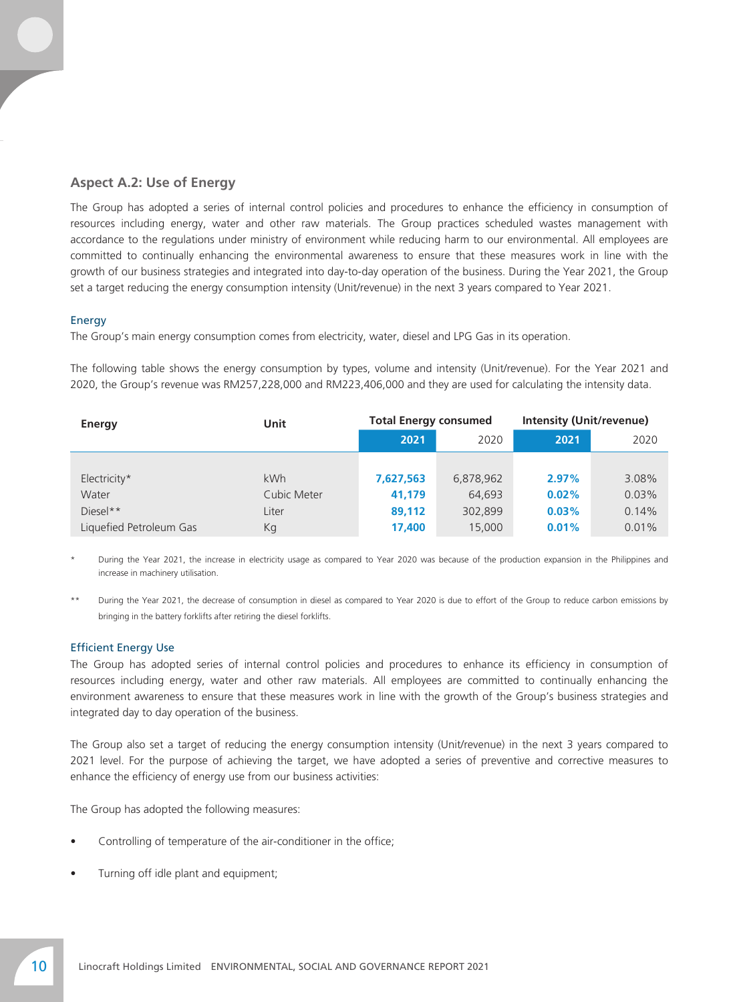## **Aspect A.2: Use of Energy**

The Group has adopted a series of internal control policies and procedures to enhance the efficiency in consumption of resources including energy, water and other raw materials. The Group practices scheduled wastes management with accordance to the regulations under ministry of environment while reducing harm to our environmental. All employees are committed to continually enhancing the environmental awareness to ensure that these measures work in line with the growth of our business strategies and integrated into day-to-day operation of the business. During the Year 2021, the Group set a target reducing the energy consumption intensity (Unit/revenue) in the next 3 years compared to Year 2021.

#### Energy

The Group's main energy consumption comes from electricity, water, diesel and LPG Gas in its operation.

The following table shows the energy consumption by types, volume and intensity (Unit/revenue). For the Year 2021 and 2020, the Group's revenue was RM257,228,000 and RM223,406,000 and they are used for calculating the intensity data.

| Energy                  | Unit        | <b>Total Energy consumed</b> |           | <b>Intensity (Unit/revenue)</b> |       |  |
|-------------------------|-------------|------------------------------|-----------|---------------------------------|-------|--|
|                         |             | 2021                         | 2020      | 2021                            | 2020  |  |
|                         |             |                              |           |                                 |       |  |
| Electricity*            | kWh         | 7,627,563                    | 6,878,962 | 2.97%                           | 3.08% |  |
| Water                   | Cubic Meter | 41,179                       | 64,693    | 0.02%                           | 0.03% |  |
| $Diesel**$              | Liter       | 89,112                       | 302,899   | 0.03%                           | 0.14% |  |
| Liquefied Petroleum Gas | Kg          | 17,400                       | 15,000    | 0.01%                           | 0.01% |  |

During the Year 2021, the increase in electricity usage as compared to Year 2020 was because of the production expansion in the Philippines and increase in machinery utilisation.

During the Year 2021, the decrease of consumption in diesel as compared to Year 2020 is due to effort of the Group to reduce carbon emissions by bringing in the battery forklifts after retiring the diesel forklifts.

#### Efficient Energy Use

The Group has adopted series of internal control policies and procedures to enhance its efficiency in consumption of resources including energy, water and other raw materials. All employees are committed to continually enhancing the environment awareness to ensure that these measures work in line with the growth of the Group's business strategies and integrated day to day operation of the business.

The Group also set a target of reducing the energy consumption intensity (Unit/revenue) in the next 3 years compared to 2021 level. For the purpose of achieving the target, we have adopted a series of preventive and corrective measures to enhance the efficiency of energy use from our business activities:

The Group has adopted the following measures:

- Controlling of temperature of the air-conditioner in the office;
- Turning off idle plant and equipment;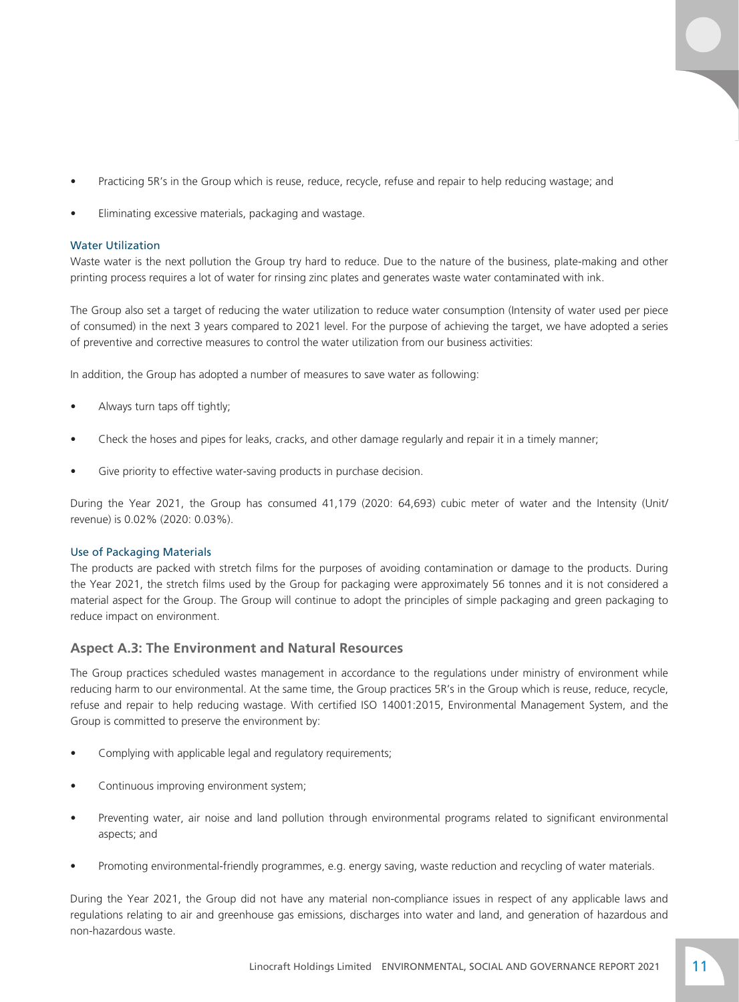- Practicing 5R's in the Group which is reuse, reduce, recycle, refuse and repair to help reducing wastage; and
- Eliminating excessive materials, packaging and wastage.

#### Water Utilization

Waste water is the next pollution the Group try hard to reduce. Due to the nature of the business, plate-making and other printing process requires a lot of water for rinsing zinc plates and generates waste water contaminated with ink.

The Group also set a target of reducing the water utilization to reduce water consumption (Intensity of water used per piece of consumed) in the next 3 years compared to 2021 level. For the purpose of achieving the target, we have adopted a series of preventive and corrective measures to control the water utilization from our business activities:

In addition, the Group has adopted a number of measures to save water as following:

- Always turn taps off tightly;
- Check the hoses and pipes for leaks, cracks, and other damage regularly and repair it in a timely manner;
- Give priority to effective water-saving products in purchase decision.

During the Year 2021, the Group has consumed 41,179 (2020: 64,693) cubic meter of water and the Intensity (Unit/ revenue) is 0.02% (2020: 0.03%).

#### Use of Packaging Materials

The products are packed with stretch films for the purposes of avoiding contamination or damage to the products. During the Year 2021, the stretch films used by the Group for packaging were approximately 56 tonnes and it is not considered a material aspect for the Group. The Group will continue to adopt the principles of simple packaging and green packaging to reduce impact on environment.

#### **Aspect A.3: The Environment and Natural Resources**

The Group practices scheduled wastes management in accordance to the regulations under ministry of environment while reducing harm to our environmental. At the same time, the Group practices 5R's in the Group which is reuse, reduce, recycle, refuse and repair to help reducing wastage. With certified ISO 14001:2015, Environmental Management System, and the Group is committed to preserve the environment by:

- Complying with applicable legal and regulatory requirements;
- Continuous improving environment system;
- Preventing water, air noise and land pollution through environmental programs related to significant environmental aspects; and
- Promoting environmental-friendly programmes, e.g. energy saving, waste reduction and recycling of water materials.

During the Year 2021, the Group did not have any material non-compliance issues in respect of any applicable laws and regulations relating to air and greenhouse gas emissions, discharges into water and land, and generation of hazardous and non-hazardous waste.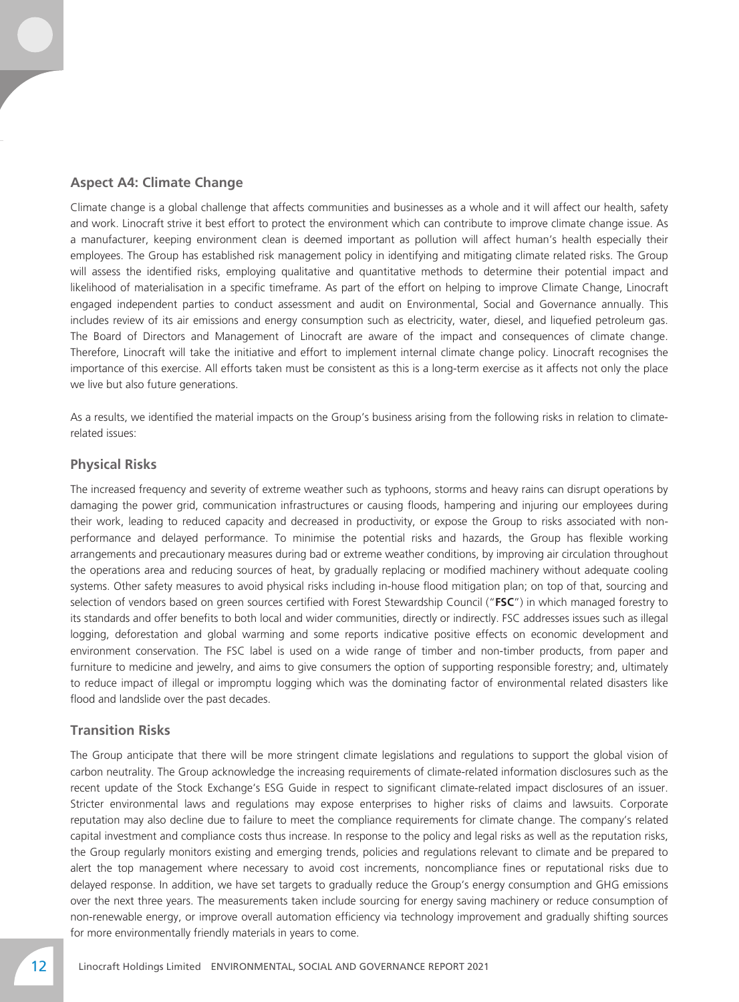## **Aspect A4: Climate Change**

Climate change is a global challenge that affects communities and businesses as a whole and it will affect our health, safety and work. Linocraft strive it best effort to protect the environment which can contribute to improve climate change issue. As a manufacturer, keeping environment clean is deemed important as pollution will affect human's health especially their employees. The Group has established risk management policy in identifying and mitigating climate related risks. The Group will assess the identified risks, employing qualitative and quantitative methods to determine their potential impact and likelihood of materialisation in a specific timeframe. As part of the effort on helping to improve Climate Change, Linocraft engaged independent parties to conduct assessment and audit on Environmental, Social and Governance annually. This includes review of its air emissions and energy consumption such as electricity, water, diesel, and liquefied petroleum gas. The Board of Directors and Management of Linocraft are aware of the impact and consequences of climate change. Therefore, Linocraft will take the initiative and effort to implement internal climate change policy. Linocraft recognises the importance of this exercise. All efforts taken must be consistent as this is a long-term exercise as it affects not only the place we live but also future generations.

As a results, we identified the material impacts on the Group's business arising from the following risks in relation to climaterelated issues:

#### **Physical Risks**

The increased frequency and severity of extreme weather such as typhoons, storms and heavy rains can disrupt operations by damaging the power grid, communication infrastructures or causing floods, hampering and injuring our employees during their work, leading to reduced capacity and decreased in productivity, or expose the Group to risks associated with nonperformance and delayed performance. To minimise the potential risks and hazards, the Group has flexible working arrangements and precautionary measures during bad or extreme weather conditions, by improving air circulation throughout the operations area and reducing sources of heat, by gradually replacing or modified machinery without adequate cooling systems. Other safety measures to avoid physical risks including in-house flood mitigation plan; on top of that, sourcing and selection of vendors based on green sources certified with Forest Stewardship Council ("**FSC**") in which managed forestry to its standards and offer benefits to both local and wider communities, directly or indirectly. FSC addresses issues such as illegal logging, deforestation and global warming and some reports indicative positive effects on economic development and environment conservation. The FSC label is used on a wide range of timber and non-timber products, from paper and furniture to medicine and jewelry, and aims to give consumers the option of supporting responsible forestry; and, ultimately to reduce impact of illegal or impromptu logging which was the dominating factor of environmental related disasters like flood and landslide over the past decades.

#### **Transition Risks**

The Group anticipate that there will be more stringent climate legislations and regulations to support the global vision of carbon neutrality. The Group acknowledge the increasing requirements of climate-related information disclosures such as the recent update of the Stock Exchange's ESG Guide in respect to significant climate-related impact disclosures of an issuer. Stricter environmental laws and regulations may expose enterprises to higher risks of claims and lawsuits. Corporate reputation may also decline due to failure to meet the compliance requirements for climate change. The company's related capital investment and compliance costs thus increase. In response to the policy and legal risks as well as the reputation risks, the Group regularly monitors existing and emerging trends, policies and regulations relevant to climate and be prepared to alert the top management where necessary to avoid cost increments, noncompliance fines or reputational risks due to delayed response. In addition, we have set targets to gradually reduce the Group's energy consumption and GHG emissions over the next three years. The measurements taken include sourcing for energy saving machinery or reduce consumption of non-renewable energy, or improve overall automation efficiency via technology improvement and gradually shifting sources for more environmentally friendly materials in years to come.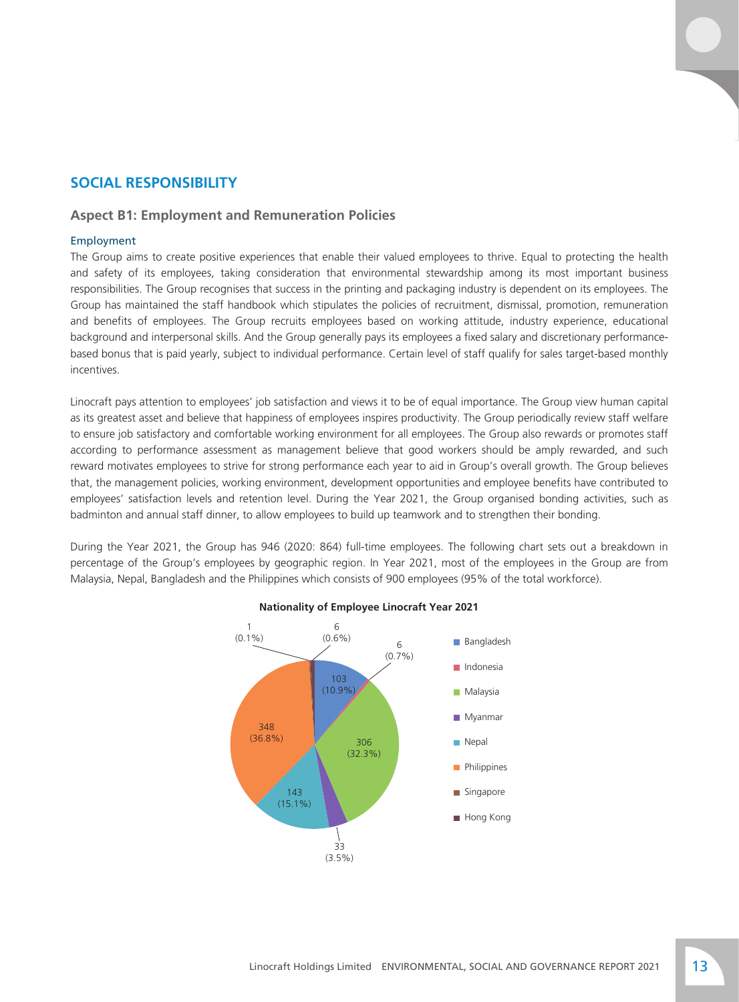# **SOCIAL RESPONSIBILITY**

#### **Aspect B1: Employment and Remuneration Policies**

#### Employment

The Group aims to create positive experiences that enable their valued employees to thrive. Equal to protecting the health and safety of its employees, taking consideration that environmental stewardship among its most important business responsibilities. The Group recognises that success in the printing and packaging industry is dependent on its employees. The Group has maintained the staff handbook which stipulates the policies of recruitment, dismissal, promotion, remuneration and benefits of employees. The Group recruits employees based on working attitude, industry experience, educational background and interpersonal skills. And the Group generally pays its employees a fixed salary and discretionary performancebased bonus that is paid yearly, subject to individual performance. Certain level of staff qualify for sales target-based monthly incentives.

Linocraft pays attention to employees' job satisfaction and views it to be of equal importance. The Group view human capital as its greatest asset and believe that happiness of employees inspires productivity. The Group periodically review staff welfare to ensure job satisfactory and comfortable working environment for all employees. The Group also rewards or promotes staff according to performance assessment as management believe that good workers should be amply rewarded, and such reward motivates employees to strive for strong performance each year to aid in Group's overall growth. The Group believes that, the management policies, working environment, development opportunities and employee benefits have contributed to employees' satisfaction levels and retention level. During the Year 2021, the Group organised bonding activities, such as badminton and annual staff dinner, to allow employees to build up teamwork and to strengthen their bonding.

During the Year 2021, the Group has 946 (2020: 864) full-time employees. The following chart sets out a breakdown in percentage of the Group's employees by geographic region. In Year 2021, most of the employees in the Group are from Malaysia, Nepal, Bangladesh and the Philippines which consists of 900 employees (95% of the total workforce).



#### **Nationality of Employee Linocraft Year 2021**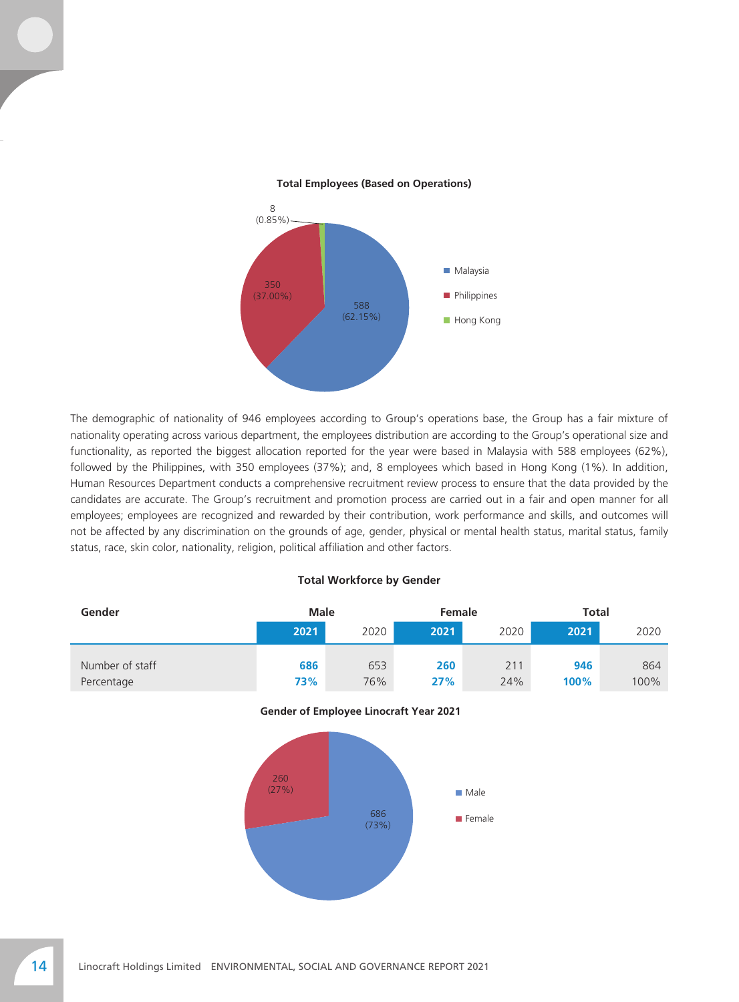

#### **Total Employees (Based on Operations)**

The demographic of nationality of 946 employees according to Group's operations base, the Group has a fair mixture of nationality operating across various department, the employees distribution are according to the Group's operational size and functionality, as reported the biggest allocation reported for the year were based in Malaysia with 588 employees (62%), followed by the Philippines, with 350 employees (37%); and, 8 employees which based in Hong Kong (1%). In addition, Human Resources Department conducts a comprehensive recruitment review process to ensure that the data provided by the candidates are accurate. The Group's recruitment and promotion process are carried out in a fair and open manner for all employees; employees are recognized and rewarded by their contribution, work performance and skills, and outcomes will not be affected by any discrimination on the grounds of age, gender, physical or mental health status, marital status, family status, race, skin color, nationality, religion, political affiliation and other factors.

#### **Total Workforce by Gender**

| Gender          | <b>Male</b> |      | Female |      | Total |      |  |
|-----------------|-------------|------|--------|------|-------|------|--|
|                 | 2021        | 2020 | 2021   | 2020 | 2021  | 2020 |  |
|                 |             |      |        |      |       |      |  |
| Number of staff | 686         | 653  | 260    | 211  | 946   | 864  |  |
| Percentage      | 73%         | 76%  | 27%    | 24%  | 100%  | 100% |  |



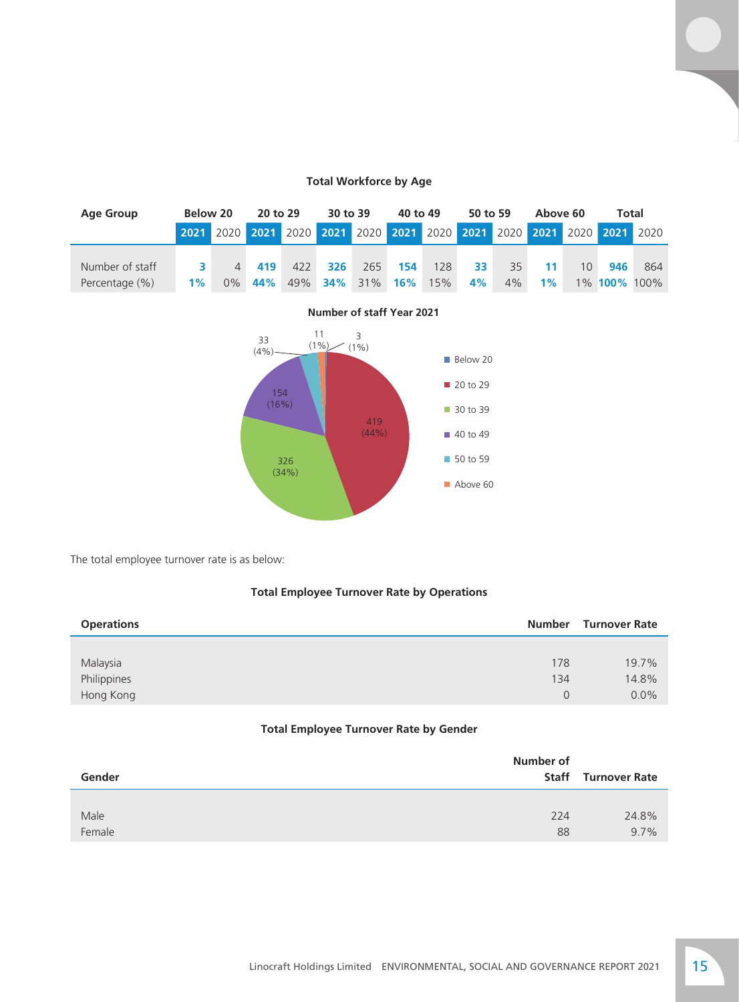### **Total Workforce by Age**

| Age Group       | Below 20 |                | 30 to 39<br>20 to 29 |                                                                       | 40 to 49 |                | 50 to 59 |     | Total<br>Above 60 |       |       |                 |                     |     |
|-----------------|----------|----------------|----------------------|-----------------------------------------------------------------------|----------|----------------|----------|-----|-------------------|-------|-------|-----------------|---------------------|-----|
|                 |          |                |                      | 2021 2020 2021 2020 2021 2020 2021 2020 2021 2020 2021 2020 2021 2020 |          |                |          |     |                   |       |       |                 |                     |     |
|                 |          |                |                      |                                                                       |          |                |          |     |                   |       |       |                 |                     |     |
| Number of staff | 3        | $\overline{4}$ | 419                  | 422                                                                   | 326      | 265            | 154      | 128 | 33                | 35    | 11    | 10 <sup>1</sup> | 946                 | 864 |
| Percentage (%)  | $1\%$    | $0\%$          | 44%                  | 49%                                                                   |          | <b>34%</b> 31% | $16\%$   | 15% | 4%                | $4\%$ | $1\%$ |                 | 1% <b>100%</b> 100% |     |



**Number of staff Year 2021**

The total employee turnover rate is as below:

## **Total Employee Turnover Rate by Operations**

| <b>Operations</b> | <b>Number</b> | <b>Turnover Rate</b> |
|-------------------|---------------|----------------------|
|                   |               |                      |
| Malaysia          | 178           | 19.7%                |
| Philippines       | 134           | 14.8%                |
| Hong Kong         | $\Omega$      | $0.0\%$              |

### **Total Employee Turnover Rate by Gender**

| Gender | Number of<br><b>Staff</b><br><b>Turnover Rate</b> |         |
|--------|---------------------------------------------------|---------|
| Male   | 224                                               | 24.8%   |
| Female | 88                                                | $9.7\%$ |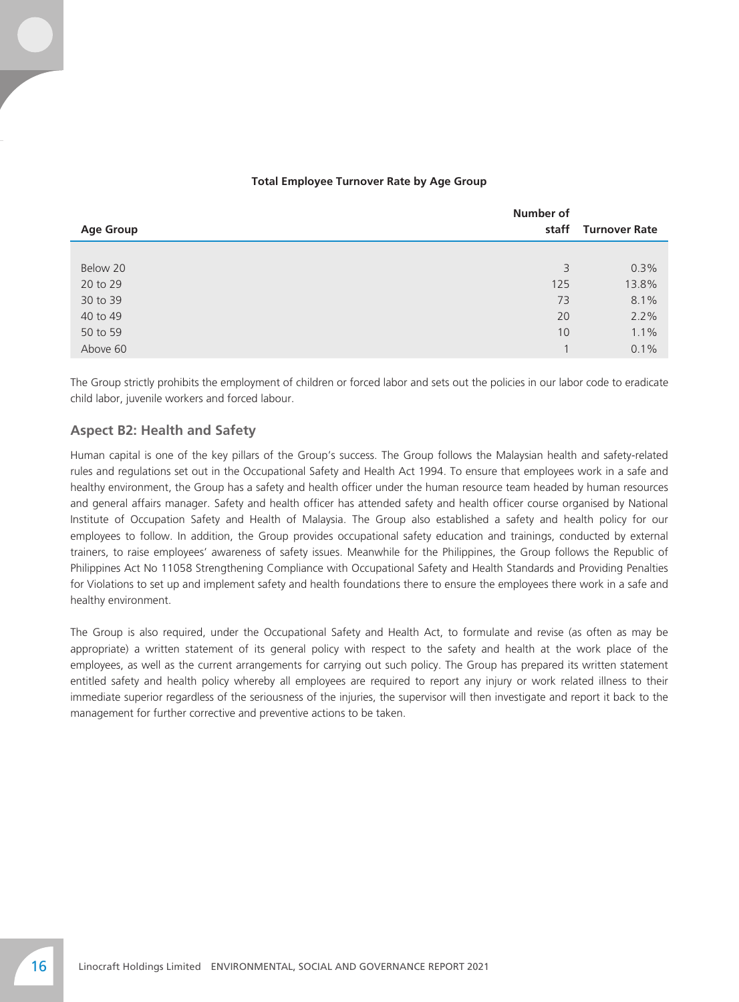#### **Total Employee Turnover Rate by Age Group**

|                  | Number of |                     |
|------------------|-----------|---------------------|
| <b>Age Group</b> |           | staff Turnover Rate |
|                  |           |                     |
| Below 20         | 3         | 0.3%                |
| 20 to 29         | 125       | 13.8%               |
| 30 to 39         | 73        | 8.1%                |
| 40 to 49         | 20        | 2.2%                |
| 50 to 59         | 10        | 1.1%                |
| Above 60         |           | 0.1%                |

The Group strictly prohibits the employment of children or forced labor and sets out the policies in our labor code to eradicate child labor, juvenile workers and forced labour.

#### **Aspect B2: Health and Safety**

Human capital is one of the key pillars of the Group's success. The Group follows the Malaysian health and safety-related rules and regulations set out in the Occupational Safety and Health Act 1994. To ensure that employees work in a safe and healthy environment, the Group has a safety and health officer under the human resource team headed by human resources and general affairs manager. Safety and health officer has attended safety and health officer course organised by National Institute of Occupation Safety and Health of Malaysia. The Group also established a safety and health policy for our employees to follow. In addition, the Group provides occupational safety education and trainings, conducted by external trainers, to raise employees' awareness of safety issues. Meanwhile for the Philippines, the Group follows the Republic of Philippines Act No 11058 Strengthening Compliance with Occupational Safety and Health Standards and Providing Penalties for Violations to set up and implement safety and health foundations there to ensure the employees there work in a safe and healthy environment.

The Group is also required, under the Occupational Safety and Health Act, to formulate and revise (as often as may be appropriate) a written statement of its general policy with respect to the safety and health at the work place of the employees, as well as the current arrangements for carrying out such policy. The Group has prepared its written statement entitled safety and health policy whereby all employees are required to report any injury or work related illness to their immediate superior regardless of the seriousness of the injuries, the supervisor will then investigate and report it back to the management for further corrective and preventive actions to be taken.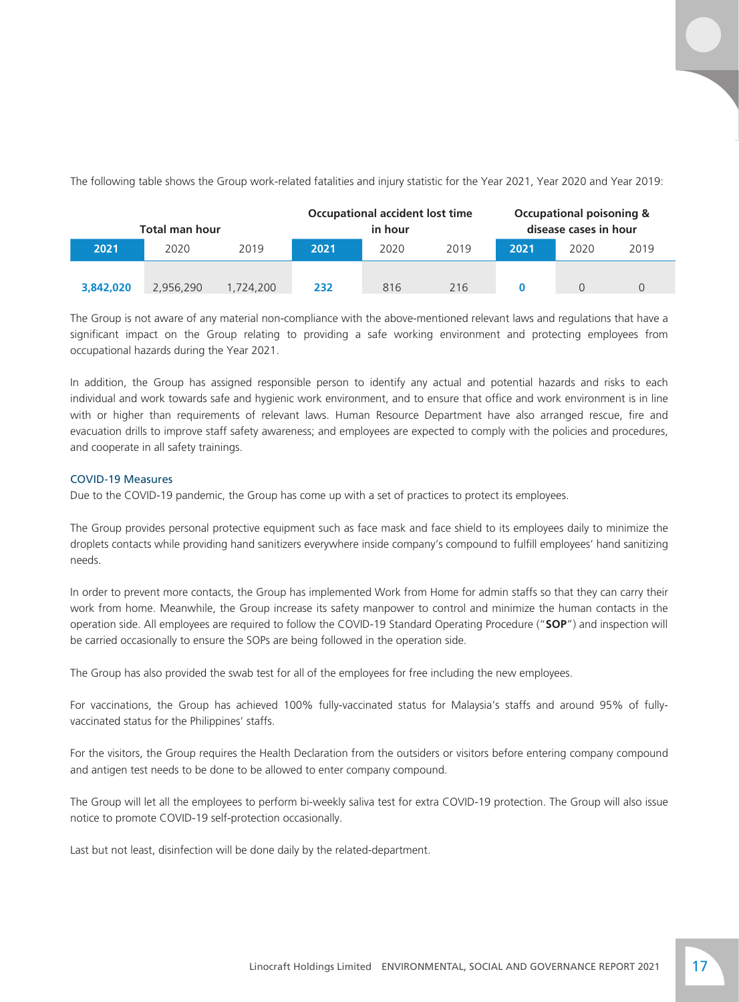The following table shows the Group work-related fatalities and injury statistic for the Year 2021, Year 2020 and Year 2019:

| Total man hour |           | <b>Occupational accident lost time</b><br>in hour |      |      | <b>Occupational poisoning &amp;</b><br>disease cases in hour |      |      |      |
|----------------|-----------|---------------------------------------------------|------|------|--------------------------------------------------------------|------|------|------|
| 2021           | 2020      | 2019                                              | 2021 | 2020 | 2019                                                         | 2021 | 2020 | 2019 |
| 3,842,020      | 2.956.290 | 1,724,200                                         | 232  | 816  | 216                                                          |      |      |      |

The Group is not aware of any material non-compliance with the above-mentioned relevant laws and regulations that have a significant impact on the Group relating to providing a safe working environment and protecting employees from occupational hazards during the Year 2021.

In addition, the Group has assigned responsible person to identify any actual and potential hazards and risks to each individual and work towards safe and hygienic work environment, and to ensure that office and work environment is in line with or higher than requirements of relevant laws. Human Resource Department have also arranged rescue, fire and evacuation drills to improve staff safety awareness; and employees are expected to comply with the policies and procedures, and cooperate in all safety trainings.

#### COVID-19 Measures

Due to the COVID-19 pandemic, the Group has come up with a set of practices to protect its employees.

The Group provides personal protective equipment such as face mask and face shield to its employees daily to minimize the droplets contacts while providing hand sanitizers everywhere inside company's compound to fulfill employees' hand sanitizing needs.

In order to prevent more contacts, the Group has implemented Work from Home for admin staffs so that they can carry their work from home. Meanwhile, the Group increase its safety manpower to control and minimize the human contacts in the operation side. All employees are required to follow the COVID-19 Standard Operating Procedure ("**SOP**") and inspection will be carried occasionally to ensure the SOPs are being followed in the operation side.

The Group has also provided the swab test for all of the employees for free including the new employees.

For vaccinations, the Group has achieved 100% fully-vaccinated status for Malaysia's staffs and around 95% of fullyvaccinated status for the Philippines' staffs.

For the visitors, the Group requires the Health Declaration from the outsiders or visitors before entering company compound and antigen test needs to be done to be allowed to enter company compound.

The Group will let all the employees to perform bi-weekly saliva test for extra COVID-19 protection. The Group will also issue notice to promote COVID-19 self-protection occasionally.

Last but not least, disinfection will be done daily by the related-department.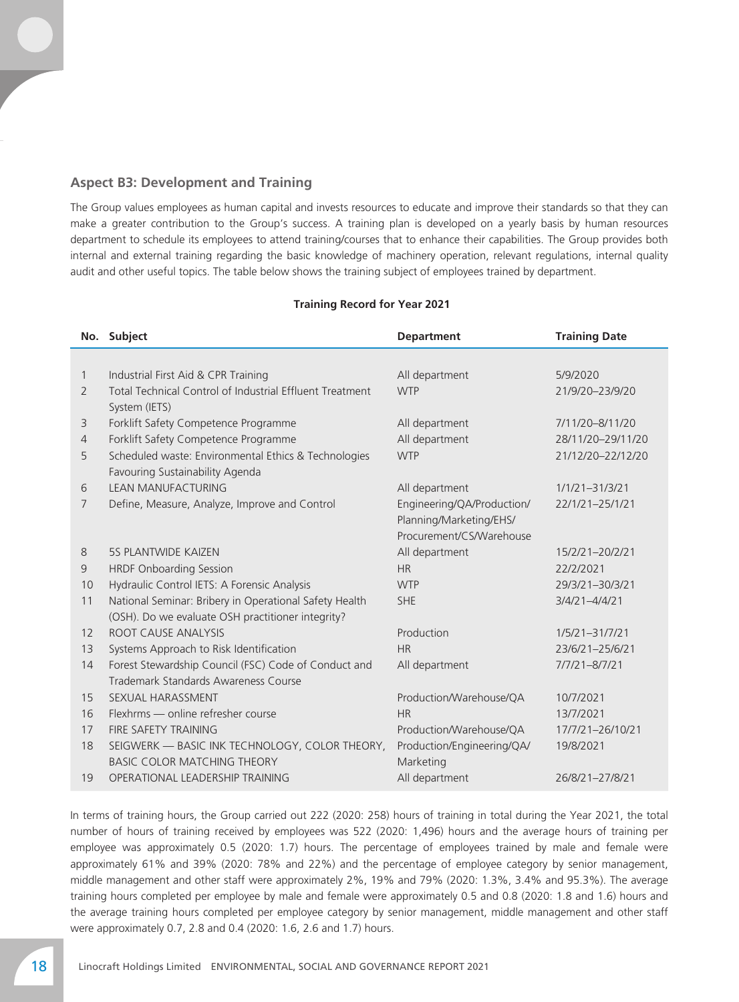## **Aspect B3: Development and Training**

The Group values employees as human capital and invests resources to educate and improve their standards so that they can make a greater contribution to the Group's success. A training plan is developed on a yearly basis by human resources department to schedule its employees to attend training/courses that to enhance their capabilities. The Group provides both internal and external training regarding the basic knowledge of machinery operation, relevant regulations, internal quality audit and other useful topics. The table below shows the training subject of employees trained by department.

#### **Training Record for Year 2021**

|                | No. Subject                                              | <b>Department</b>          | <b>Training Date</b> |
|----------------|----------------------------------------------------------|----------------------------|----------------------|
|                |                                                          |                            |                      |
| 1              | Industrial First Aid & CPR Training                      | All department             | 5/9/2020             |
| $\overline{2}$ | Total Technical Control of Industrial Effluent Treatment | <b>WTP</b>                 | 21/9/20-23/9/20      |
|                | System (IETS)                                            |                            |                      |
| 3              | Forklift Safety Competence Programme                     | All department             | 7/11/20-8/11/20      |
| $\overline{4}$ | Forklift Safety Competence Programme                     | All department             | 28/11/20-29/11/20    |
| 5              | Scheduled waste: Environmental Ethics & Technologies     | <b>WTP</b>                 | 21/12/20-22/12/20    |
|                | Favouring Sustainability Agenda                          |                            |                      |
| 6              | <b>LEAN MANUFACTURING</b>                                | All department             | $1/1/21 - 31/3/21$   |
| $\overline{7}$ | Define, Measure, Analyze, Improve and Control            | Engineering/QA/Production/ | 22/1/21-25/1/21      |
|                |                                                          | Planning/Marketing/EHS/    |                      |
|                |                                                          | Procurement/CS/Warehouse   |                      |
| 8              | <b>5S PLANTWIDE KAIZEN</b>                               | All department             | 15/2/21-20/2/21      |
| 9              | <b>HRDF Onboarding Session</b>                           | <b>HR</b>                  | 22/2/2021            |
| 10             | Hydraulic Control IETS: A Forensic Analysis              | <b>WTP</b>                 | 29/3/21-30/3/21      |
| 11             | National Seminar: Bribery in Operational Safety Health   | <b>SHE</b>                 | $3/4/21 - 4/4/21$    |
|                | (OSH). Do we evaluate OSH practitioner integrity?        |                            |                      |
| 12             | ROOT CAUSE ANALYSIS                                      | Production                 | $1/5/21 - 31/7/21$   |
| 13             | Systems Approach to Risk Identification                  | <b>HR</b>                  | 23/6/21-25/6/21      |
| 14             | Forest Stewardship Council (FSC) Code of Conduct and     | All department             | $7/7/21 - 8/7/21$    |
|                | Trademark Standards Awareness Course                     |                            |                      |
| 15             | SEXUAL HARASSMENT                                        | Production/Warehouse/QA    | 10/7/2021            |
| 16             | Flexhrms — online refresher course                       | <b>HR</b>                  | 13/7/2021            |
| 17             | <b>FIRE SAFETY TRAINING</b>                              | Production/Warehouse/QA    | 17/7/21-26/10/21     |
| 18             | SEIGWERK - BASIC INK TECHNOLOGY, COLOR THEORY,           | Production/Engineering/QA/ | 19/8/2021            |
|                | <b>BASIC COLOR MATCHING THEORY</b>                       | Marketing                  |                      |
| 19             | OPERATIONAL LEADERSHIP TRAINING                          | All department             | 26/8/21-27/8/21      |

In terms of training hours, the Group carried out 222 (2020: 258) hours of training in total during the Year 2021, the total number of hours of training received by employees was 522 (2020: 1,496) hours and the average hours of training per employee was approximately 0.5 (2020: 1.7) hours. The percentage of employees trained by male and female were approximately 61% and 39% (2020: 78% and 22%) and the percentage of employee category by senior management, middle management and other staff were approximately 2%, 19% and 79% (2020: 1.3%, 3.4% and 95.3%). The average training hours completed per employee by male and female were approximately 0.5 and 0.8 (2020: 1.8 and 1.6) hours and the average training hours completed per employee category by senior management, middle management and other staff were approximately 0.7, 2.8 and 0.4 (2020: 1.6, 2.6 and 1.7) hours.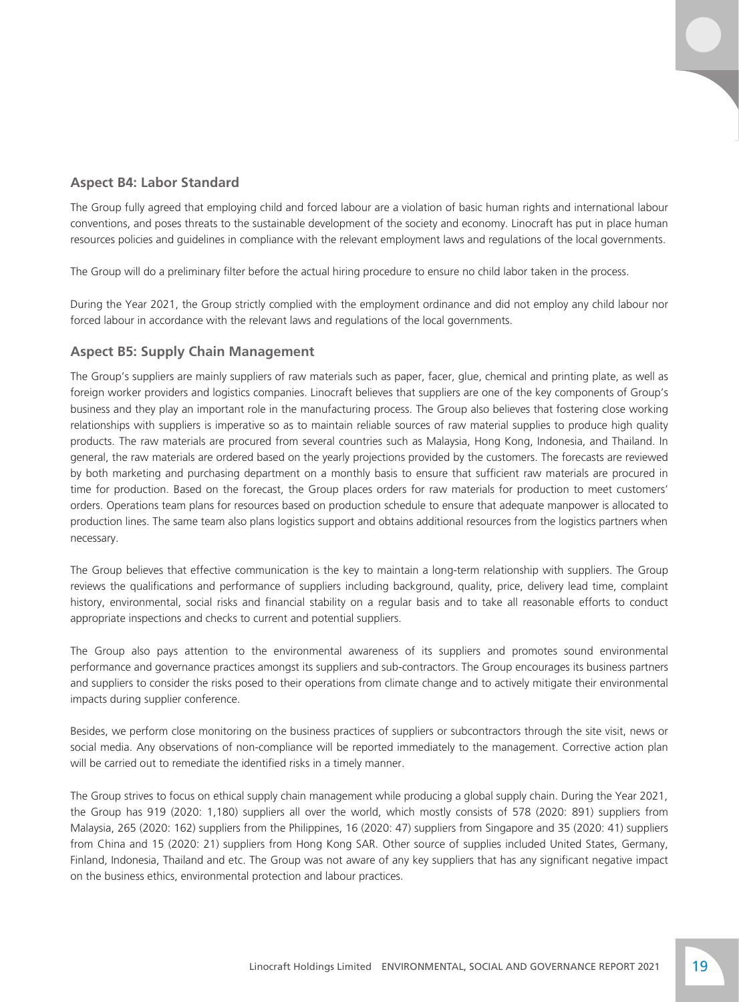## **Aspect B4: Labor Standard**

The Group fully agreed that employing child and forced labour are a violation of basic human rights and international labour conventions, and poses threats to the sustainable development of the society and economy. Linocraft has put in place human resources policies and guidelines in compliance with the relevant employment laws and regulations of the local governments.

The Group will do a preliminary filter before the actual hiring procedure to ensure no child labor taken in the process.

During the Year 2021, the Group strictly complied with the employment ordinance and did not employ any child labour nor forced labour in accordance with the relevant laws and regulations of the local governments.

#### **Aspect B5: Supply Chain Management**

The Group's suppliers are mainly suppliers of raw materials such as paper, facer, glue, chemical and printing plate, as well as foreign worker providers and logistics companies. Linocraft believes that suppliers are one of the key components of Group's business and they play an important role in the manufacturing process. The Group also believes that fostering close working relationships with suppliers is imperative so as to maintain reliable sources of raw material supplies to produce high quality products. The raw materials are procured from several countries such as Malaysia, Hong Kong, Indonesia, and Thailand. In general, the raw materials are ordered based on the yearly projections provided by the customers. The forecasts are reviewed by both marketing and purchasing department on a monthly basis to ensure that sufficient raw materials are procured in time for production. Based on the forecast, the Group places orders for raw materials for production to meet customers' orders. Operations team plans for resources based on production schedule to ensure that adequate manpower is allocated to production lines. The same team also plans logistics support and obtains additional resources from the logistics partners when necessary.

The Group believes that effective communication is the key to maintain a long-term relationship with suppliers. The Group reviews the qualifications and performance of suppliers including background, quality, price, delivery lead time, complaint history, environmental, social risks and financial stability on a regular basis and to take all reasonable efforts to conduct appropriate inspections and checks to current and potential suppliers.

The Group also pays attention to the environmental awareness of its suppliers and promotes sound environmental performance and governance practices amongst its suppliers and sub-contractors. The Group encourages its business partners and suppliers to consider the risks posed to their operations from climate change and to actively mitigate their environmental impacts during supplier conference.

Besides, we perform close monitoring on the business practices of suppliers or subcontractors through the site visit, news or social media. Any observations of non-compliance will be reported immediately to the management. Corrective action plan will be carried out to remediate the identified risks in a timely manner.

The Group strives to focus on ethical supply chain management while producing a global supply chain. During the Year 2021, the Group has 919 (2020: 1,180) suppliers all over the world, which mostly consists of 578 (2020: 891) suppliers from Malaysia, 265 (2020: 162) suppliers from the Philippines, 16 (2020: 47) suppliers from Singapore and 35 (2020: 41) suppliers from China and 15 (2020: 21) suppliers from Hong Kong SAR. Other source of supplies included United States, Germany, Finland, Indonesia, Thailand and etc. The Group was not aware of any key suppliers that has any significant negative impact on the business ethics, environmental protection and labour practices.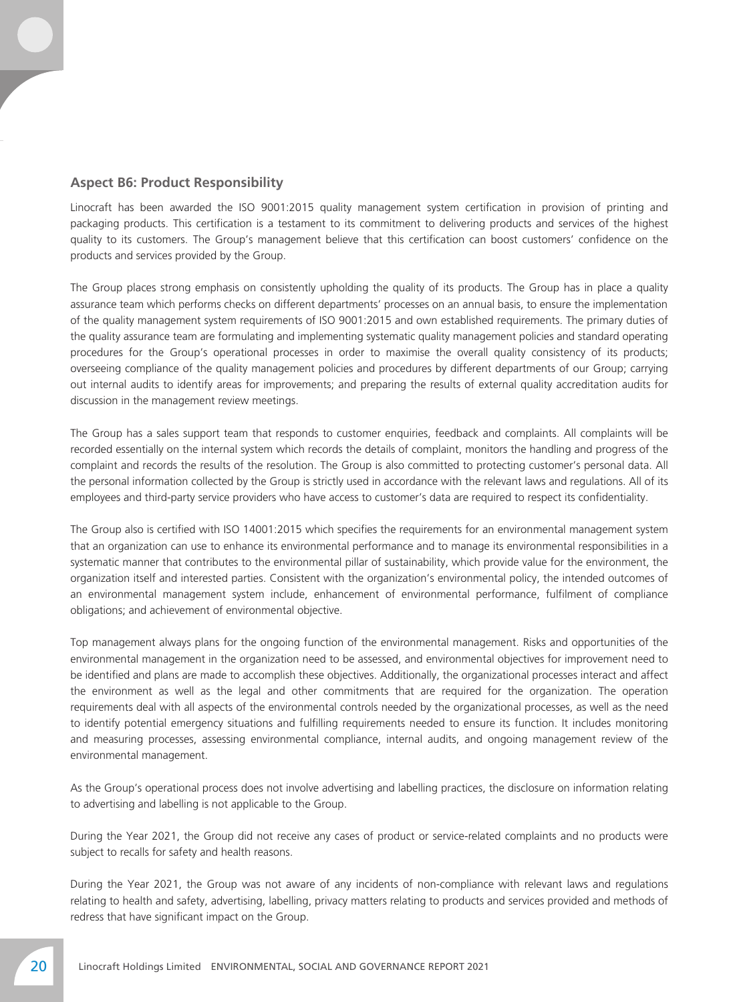## **Aspect B6: Product Responsibility**

Linocraft has been awarded the ISO 9001:2015 quality management system certification in provision of printing and packaging products. This certification is a testament to its commitment to delivering products and services of the highest quality to its customers. The Group's management believe that this certification can boost customers' confidence on the products and services provided by the Group.

The Group places strong emphasis on consistently upholding the quality of its products. The Group has in place a quality assurance team which performs checks on different departments' processes on an annual basis, to ensure the implementation of the quality management system requirements of ISO 9001:2015 and own established requirements. The primary duties of the quality assurance team are formulating and implementing systematic quality management policies and standard operating procedures for the Group's operational processes in order to maximise the overall quality consistency of its products; overseeing compliance of the quality management policies and procedures by different departments of our Group; carrying out internal audits to identify areas for improvements; and preparing the results of external quality accreditation audits for discussion in the management review meetings.

The Group has a sales support team that responds to customer enquiries, feedback and complaints. All complaints will be recorded essentially on the internal system which records the details of complaint, monitors the handling and progress of the complaint and records the results of the resolution. The Group is also committed to protecting customer's personal data. All the personal information collected by the Group is strictly used in accordance with the relevant laws and regulations. All of its employees and third-party service providers who have access to customer's data are required to respect its confidentiality.

The Group also is certified with ISO 14001:2015 which specifies the requirements for an environmental management system that an organization can use to enhance its environmental performance and to manage its environmental responsibilities in a systematic manner that contributes to the environmental pillar of sustainability, which provide value for the environment, the organization itself and interested parties. Consistent with the organization's environmental policy, the intended outcomes of an environmental management system include, enhancement of environmental performance, fulfilment of compliance obligations; and achievement of environmental objective.

Top management always plans for the ongoing function of the environmental management. Risks and opportunities of the environmental management in the organization need to be assessed, and environmental objectives for improvement need to be identified and plans are made to accomplish these objectives. Additionally, the organizational processes interact and affect the environment as well as the legal and other commitments that are required for the organization. The operation requirements deal with all aspects of the environmental controls needed by the organizational processes, as well as the need to identify potential emergency situations and fulfilling requirements needed to ensure its function. It includes monitoring and measuring processes, assessing environmental compliance, internal audits, and ongoing management review of the environmental management.

As the Group's operational process does not involve advertising and labelling practices, the disclosure on information relating to advertising and labelling is not applicable to the Group.

During the Year 2021, the Group did not receive any cases of product or service-related complaints and no products were subject to recalls for safety and health reasons.

During the Year 2021, the Group was not aware of any incidents of non-compliance with relevant laws and regulations relating to health and safety, advertising, labelling, privacy matters relating to products and services provided and methods of redress that have significant impact on the Group.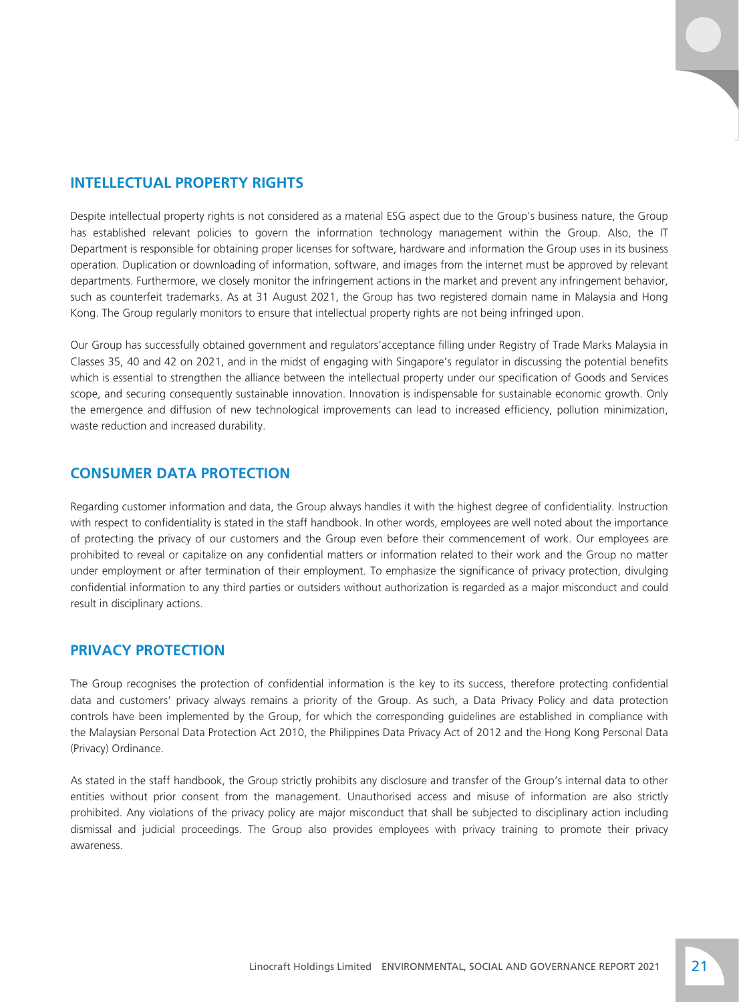Despite intellectual property rights is not considered as a material ESG aspect due to the Group's business nature, the Group has established relevant policies to govern the information technology management within the Group. Also, the IT Department is responsible for obtaining proper licenses for software, hardware and information the Group uses in its business operation. Duplication or downloading of information, software, and images from the internet must be approved by relevant departments. Furthermore, we closely monitor the infringement actions in the market and prevent any infringement behavior, such as counterfeit trademarks. As at 31 August 2021, the Group has two registered domain name in Malaysia and Hong Kong. The Group regularly monitors to ensure that intellectual property rights are not being infringed upon.

Our Group has successfully obtained government and regulators'acceptance filling under Registry of Trade Marks Malaysia in Classes 35, 40 and 42 on 2021, and in the midst of engaging with Singapore's regulator in discussing the potential benefits which is essential to strengthen the alliance between the intellectual property under our specification of Goods and Services scope, and securing consequently sustainable innovation. Innovation is indispensable for sustainable economic growth. Only the emergence and diffusion of new technological improvements can lead to increased efficiency, pollution minimization, waste reduction and increased durability.

## **CONSUMER DATA PROTECTION**

Regarding customer information and data, the Group always handles it with the highest degree of confidentiality. Instruction with respect to confidentiality is stated in the staff handbook. In other words, employees are well noted about the importance of protecting the privacy of our customers and the Group even before their commencement of work. Our employees are prohibited to reveal or capitalize on any confidential matters or information related to their work and the Group no matter under employment or after termination of their employment. To emphasize the significance of privacy protection, divulging confidential information to any third parties or outsiders without authorization is regarded as a major misconduct and could result in disciplinary actions.

# **PRIVACY PROTECTION**

The Group recognises the protection of confidential information is the key to its success, therefore protecting confidential data and customers' privacy always remains a priority of the Group. As such, a Data Privacy Policy and data protection controls have been implemented by the Group, for which the corresponding guidelines are established in compliance with the Malaysian Personal Data Protection Act 2010, the Philippines Data Privacy Act of 2012 and the Hong Kong Personal Data (Privacy) Ordinance.

As stated in the staff handbook, the Group strictly prohibits any disclosure and transfer of the Group's internal data to other entities without prior consent from the management. Unauthorised access and misuse of information are also strictly prohibited. Any violations of the privacy policy are major misconduct that shall be subjected to disciplinary action including dismissal and judicial proceedings. The Group also provides employees with privacy training to promote their privacy awareness.

Linocraft Holdings Limited ENVIRONMENTAL, SOCIAL AND GOVERNANCE REPORT 2021 21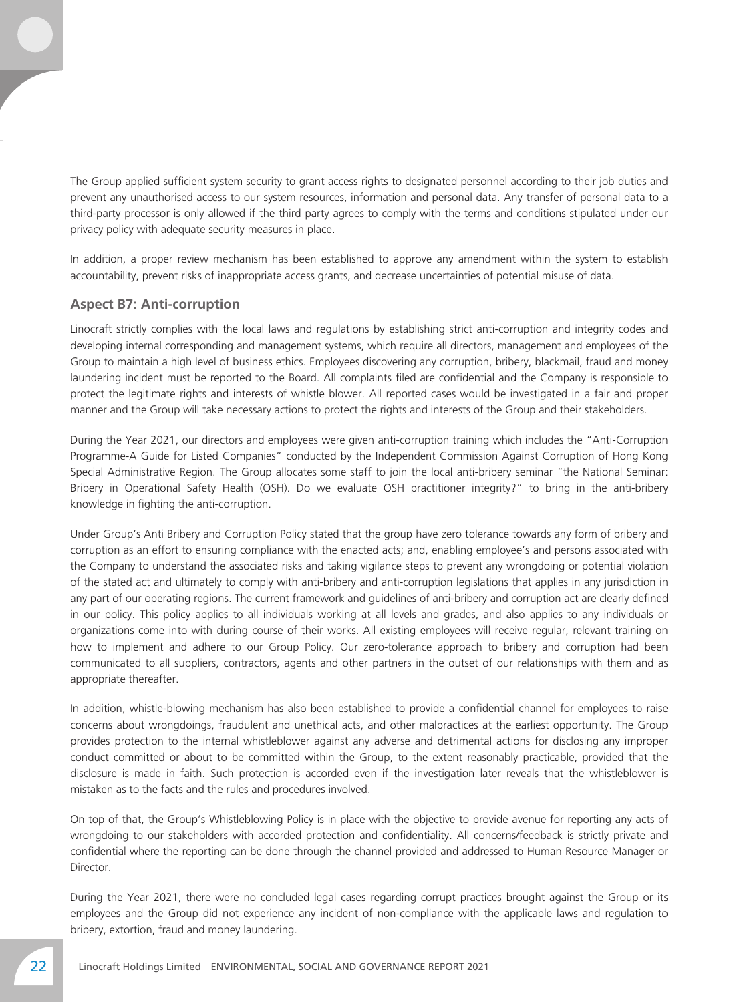The Group applied sufficient system security to grant access rights to designated personnel according to their job duties and prevent any unauthorised access to our system resources, information and personal data. Any transfer of personal data to a third-party processor is only allowed if the third party agrees to comply with the terms and conditions stipulated under our privacy policy with adequate security measures in place.

In addition, a proper review mechanism has been established to approve any amendment within the system to establish accountability, prevent risks of inappropriate access grants, and decrease uncertainties of potential misuse of data.

#### **Aspect B7: Anti-corruption**

Linocraft strictly complies with the local laws and regulations by establishing strict anti-corruption and integrity codes and developing internal corresponding and management systems, which require all directors, management and employees of the Group to maintain a high level of business ethics. Employees discovering any corruption, bribery, blackmail, fraud and money laundering incident must be reported to the Board. All complaints filed are confidential and the Company is responsible to protect the legitimate rights and interests of whistle blower. All reported cases would be investigated in a fair and proper manner and the Group will take necessary actions to protect the rights and interests of the Group and their stakeholders.

During the Year 2021, our directors and employees were given anti-corruption training which includes the "Anti-Corruption Programme-A Guide for Listed Companies" conducted by the Independent Commission Against Corruption of Hong Kong Special Administrative Region. The Group allocates some staff to join the local anti-bribery seminar "the National Seminar: Bribery in Operational Safety Health (OSH). Do we evaluate OSH practitioner integrity?" to bring in the anti-bribery knowledge in fighting the anti-corruption.

Under Group's Anti Bribery and Corruption Policy stated that the group have zero tolerance towards any form of bribery and corruption as an effort to ensuring compliance with the enacted acts; and, enabling employee's and persons associated with the Company to understand the associated risks and taking vigilance steps to prevent any wrongdoing or potential violation of the stated act and ultimately to comply with anti-bribery and anti-corruption legislations that applies in any jurisdiction in any part of our operating regions. The current framework and guidelines of anti-bribery and corruption act are clearly defined in our policy. This policy applies to all individuals working at all levels and grades, and also applies to any individuals or organizations come into with during course of their works. All existing employees will receive regular, relevant training on how to implement and adhere to our Group Policy. Our zero-tolerance approach to bribery and corruption had been communicated to all suppliers, contractors, agents and other partners in the outset of our relationships with them and as appropriate thereafter.

In addition, whistle-blowing mechanism has also been established to provide a confidential channel for employees to raise concerns about wrongdoings, fraudulent and unethical acts, and other malpractices at the earliest opportunity. The Group provides protection to the internal whistleblower against any adverse and detrimental actions for disclosing any improper conduct committed or about to be committed within the Group, to the extent reasonably practicable, provided that the disclosure is made in faith. Such protection is accorded even if the investigation later reveals that the whistleblower is mistaken as to the facts and the rules and procedures involved.

On top of that, the Group's Whistleblowing Policy is in place with the objective to provide avenue for reporting any acts of wrongdoing to our stakeholders with accorded protection and confidentiality. All concerns/feedback is strictly private and confidential where the reporting can be done through the channel provided and addressed to Human Resource Manager or Director.

During the Year 2021, there were no concluded legal cases regarding corrupt practices brought against the Group or its employees and the Group did not experience any incident of non-compliance with the applicable laws and regulation to bribery, extortion, fraud and money laundering.